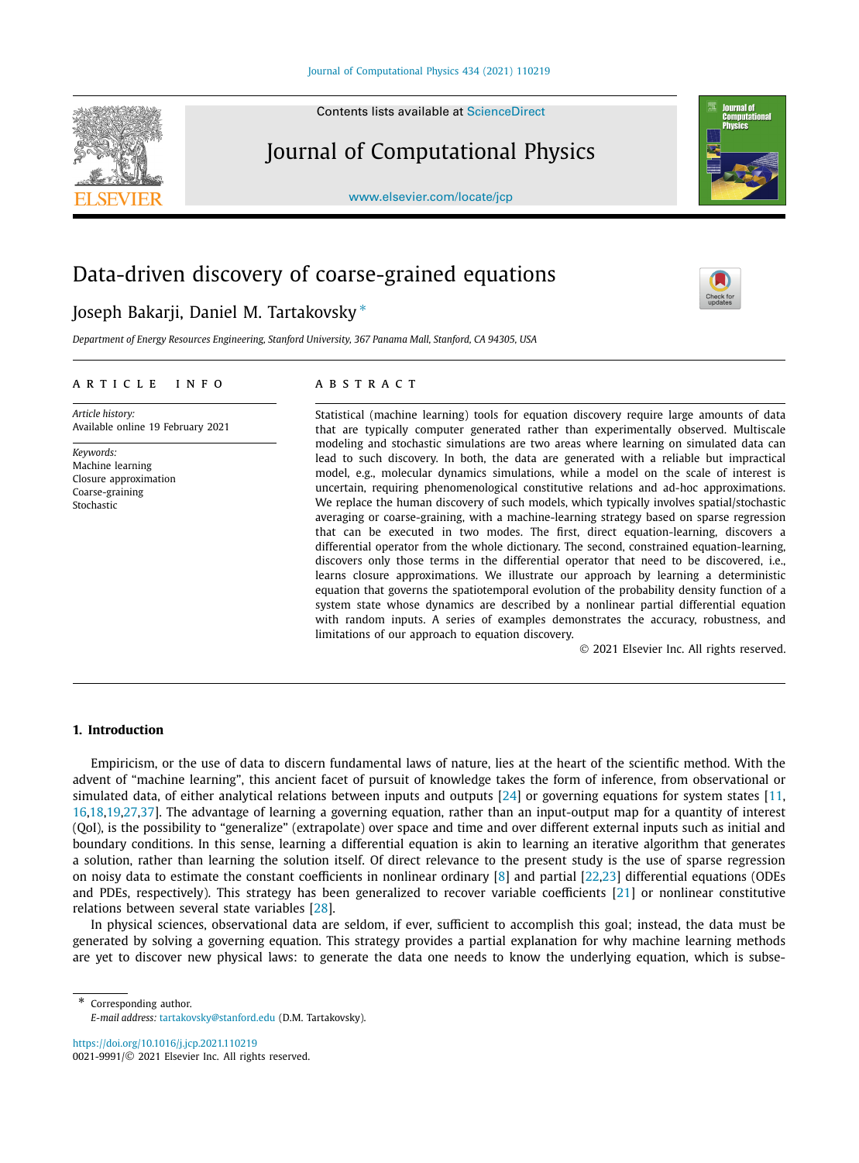Contents lists available at [ScienceDirect](http://www.ScienceDirect.com/)

## Journal of Computational Physics

[www.elsevier.com/locate/jcp](http://www.elsevier.com/locate/jcp)

# Data-driven discovery of coarse-grained equations

### Joseph Bakarji, Daniel M. Tartakovsky <sup>∗</sup>

*Department of Energy Resources Engineering, Stanford University, 367 Panama Mall, Stanford, CA 94305, USA*

#### A R T I C L E I N F O A B S T R A C T

*Article history:* Available online 19 February 2021

*Keywords:* Machine learning Closure approximation Coarse-graining Stochastic

Statistical (machine learning) tools for equation discovery require large amounts of data that are typically computer generated rather than experimentally observed. Multiscale modeling and stochastic simulations are two areas where learning on simulated data can lead to such discovery. In both, the data are generated with a reliable but impractical model, e.g., molecular dynamics simulations, while a model on the scale of interest is uncertain, requiring phenomenological constitutive relations and ad-hoc approximations. We replace the human discovery of such models, which typically involves spatial/stochastic averaging or coarse-graining, with a machine-learning strategy based on sparse regression that can be executed in two modes. The first, direct equation-learning, discovers a differential operator from the whole dictionary. The second, constrained equation-learning, discovers only those terms in the differential operator that need to be discovered, i.e., learns closure approximations. We illustrate our approach by learning a deterministic equation that governs the spatiotemporal evolution of the probability density function of a system state whose dynamics are described by a nonlinear partial differential equation with random inputs. A series of examples demonstrates the accuracy, robustness, and limitations of our approach to equation discovery.

© 2021 Elsevier Inc. All rights reserved.

#### **1. Introduction**

Empiricism, or the use of data to discern fundamental laws of nature, lies at the heart of the scientific method. With the advent of "machine learning", this ancient facet of pursuit of knowledge takes the form of inference, from observational or simulated data, of either analytical relations between inputs and outputs [\[24](#page-16-0)] or governing equations for system states [\[11](#page-16-0), [16,18,19,27,37\]](#page-16-0). The advantage of learning a governing equation, rather than an input-output map for a quantity of interest (QoI), is the possibility to "generalize" (extrapolate) over space and time and over different external inputs such as initial and boundary conditions. In this sense, learning a differential equation is akin to learning an iterative algorithm that generates a solution, rather than learning the solution itself. Of direct relevance to the present study is the use of sparse regression on noisy data to estimate the constant coefficients in nonlinear ordinary [\[8\]](#page-15-0) and partial [\[22,23\]](#page-16-0) differential equations (ODEs and PDEs, respectively). This strategy has been generalized to recover variable coefficients [[21](#page-16-0)] or nonlinear constitutive relations between several state variables [[28](#page-16-0)].

In physical sciences, observational data are seldom, if ever, sufficient to accomplish this goal; instead, the data must be generated by solving a governing equation. This strategy provides a partial explanation for why machine learning methods are yet to discover new physical laws: to generate the data one needs to know the underlying equation, which is subse-

\* Corresponding author. *E-mail address:* [tartakovsky@stanford.edu](mailto:tartakovsky@stanford.edu) (D.M. Tartakovsky).

<https://doi.org/10.1016/j.jcp.2021.110219> 0021-9991/© 2021 Elsevier Inc. All rights reserved.





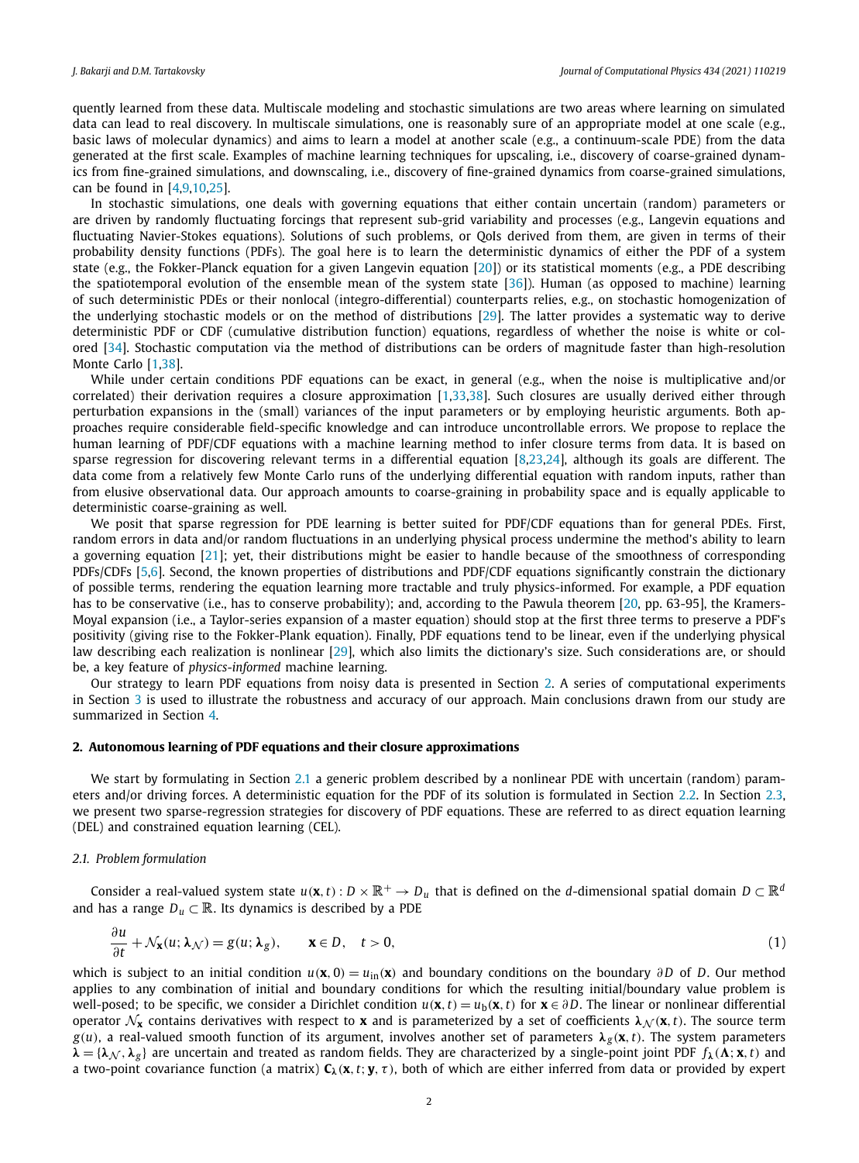<span id="page-1-0"></span>quently learned from these data. Multiscale modeling and stochastic simulations are two areas where learning on simulated data can lead to real discovery. In multiscale simulations, one is reasonably sure of an appropriate model at one scale (e.g., basic laws of molecular dynamics) and aims to learn a model at another scale (e.g., a continuum-scale PDE) from the data generated at the first scale. Examples of machine learning techniques for upscaling, i.e., discovery of coarse-grained dynamics from fine-grained simulations, and downscaling, i.e., discovery of fine-grained dynamics from coarse-grained simulations, can be found in [\[4,9](#page-15-0)[,10,25](#page-16-0)].

In stochastic simulations, one deals with governing equations that either contain uncertain (random) parameters or are driven by randomly fluctuating forcings that represent sub-grid variability and processes (e.g., Langevin equations and fluctuating Navier-Stokes equations). Solutions of such problems, or QoIs derived from them, are given in terms of their probability density functions (PDFs). The goal here is to learn the deterministic dynamics of either the PDF of a system state (e.g., the Fokker-Planck equation for a given Langevin equation [\[20](#page-16-0)]) or its statistical moments (e.g., a PDE describing the spatiotemporal evolution of the ensemble mean of the system state [\[36](#page-16-0)]). Human (as opposed to machine) learning of such deterministic PDEs or their nonlocal (integro-differential) counterparts relies, e.g., on stochastic homogenization of the underlying stochastic models or on the method of distributions [\[29](#page-16-0)]. The latter provides a systematic way to derive deterministic PDF or CDF (cumulative distribution function) equations, regardless of whether the noise is white or colored [\[34](#page-16-0)]. Stochastic computation via the method of distributions can be orders of magnitude faster than high-resolution Monte Carlo [[1](#page-15-0)[,38](#page-16-0)].

While under certain conditions PDF equations can be exact, in general (e.g., when the noise is multiplicative and/or correlated) their derivation requires a closure approximation [[1](#page-15-0)[,33,38](#page-16-0)]. Such closures are usually derived either through perturbation expansions in the (small) variances of the input parameters or by employing heuristic arguments. Both approaches require considerable field-specific knowledge and can introduce uncontrollable errors. We propose to replace the human learning of PDF/CDF equations with a machine learning method to infer closure terms from data. It is based on sparse regression for discovering relevant terms in a differential equation [[8](#page-15-0)[,23,24\]](#page-16-0), although its goals are different. The data come from a relatively few Monte Carlo runs of the underlying differential equation with random inputs, rather than from elusive observational data. Our approach amounts to coarse-graining in probability space and is equally applicable to deterministic coarse-graining as well.

We posit that sparse regression for PDE learning is better suited for PDF/CDF equations than for general PDEs. First, random errors in data and/or random fluctuations in an underlying physical process undermine the method's ability to learn a governing equation [\[21\]](#page-16-0); yet, their distributions might be easier to handle because of the smoothness of corresponding PDFs/CDFs [[5,6\]](#page-15-0). Second, the known properties of distributions and PDF/CDF equations significantly constrain the dictionary of possible terms, rendering the equation learning more tractable and truly physics-informed. For example, a PDF equation has to be conservative (i.e., has to conserve probability); and, according to the Pawula theorem [\[20,](#page-16-0) pp. 63-95], the Kramers-Moyal expansion (i.e., a Taylor-series expansion of a master equation) should stop at the first three terms to preserve a PDF's positivity (giving rise to the Fokker-Plank equation). Finally, PDF equations tend to be linear, even if the underlying physical law describing each realization is nonlinear [[29\]](#page-16-0), which also limits the dictionary's size. Such considerations are, or should be, a key feature of *physics-informed* machine learning.

Our strategy to learn PDF equations from noisy data is presented in Section 2. A series of computational experiments in Section [3](#page-6-0) is used to illustrate the robustness and accuracy of our approach. Main conclusions drawn from our study are summarized in Section [4.](#page-12-0)

#### **2. Autonomous learning of PDF equations and their closure approximations**

We start by formulating in Section 2.1 a generic problem described by a nonlinear PDE with uncertain (random) parameters and/or driving forces. A deterministic equation for the PDF of its solution is formulated in Section [2.2.](#page-2-0) In Section [2.3](#page-2-0), we present two sparse-regression strategies for discovery of PDF equations. These are referred to as direct equation learning (DEL) and constrained equation learning (CEL).

#### *2.1. Problem formulation*

Consider a real-valued system state  $u(\mathbf{x},t): D \times \mathbb{R}^+ \to D_u$  that is defined on the *d*-dimensional spatial domain  $D \subset \mathbb{R}^d$ and has a range  $D_u \subset \mathbb{R}$ . Its dynamics is described by a PDE

$$
\frac{\partial u}{\partial t} + \mathcal{N}_{\mathbf{x}}(u; \lambda_{\mathcal{N}}) = g(u; \lambda_{g}), \qquad \mathbf{x} \in D, \quad t > 0,
$$
\n(1)

which is subject to an initial condition  $u(\mathbf{x}, 0) = u_{in}(\mathbf{x})$  and boundary conditions on the boundary  $\partial D$  of *D*. Our method applies to any combination of initial and boundary conditions for which the resulting initial/boundary value problem is well-posed; to be specific, we consider a Dirichlet condition  $u(\mathbf{x}, t) = u_h(\mathbf{x}, t)$  for  $\mathbf{x} \in \partial D$ . The linear or nonlinear differential operator  $\mathcal{N}_{\mathbf{x}}$  contains derivatives with respect to **x** and is parameterized by a set of coefficients  $\lambda_N(\mathbf{x}, t)$ . The source term  $g(u)$ , a real-valued smooth function of its argument, involves another set of parameters  $\lambda_g(\mathbf{x},t)$ . The system parameters  $\lambda = {\lambda_N, \lambda_g}$  are uncertain and treated as random fields. They are characterized by a single-point joint PDF  $f_\lambda(\Lambda; \mathbf{x}, t)$  and a two-point covariance function (a matrix) **C***λ(***x***,t*; **y***, τ )*, both of which are either inferred from data or provided by expert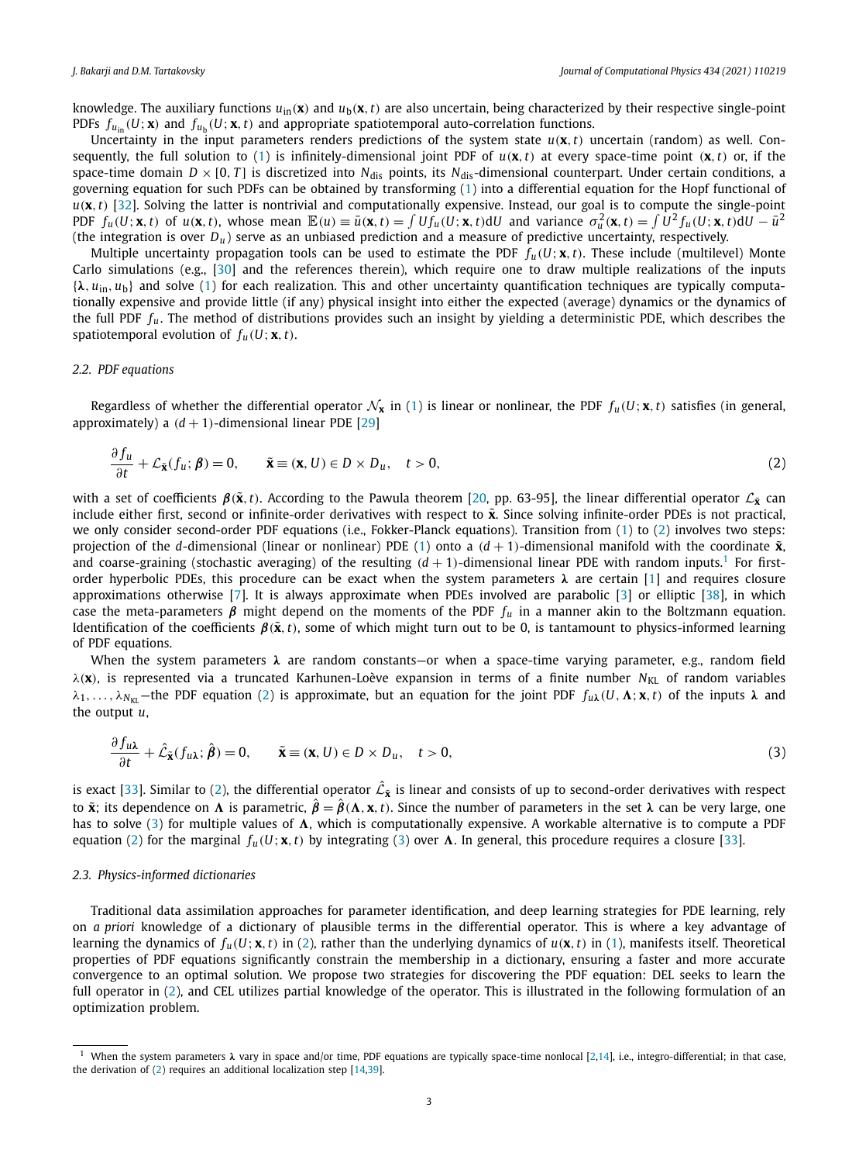<span id="page-2-0"></span>knowledge. The auxiliary functions  $u_{in}(x)$  and  $u_b(x, t)$  are also uncertain, being characterized by their respective single-point PDFs  $f_{\mu_{in}}(U; \mathbf{x})$  and  $f_{\mu_{in}}(U; \mathbf{x}, t)$  and appropriate spatiotemporal auto-correlation functions.

Uncertainty in the input parameters renders predictions of the system state  $u(\mathbf{x}, t)$  uncertain (random) as well. Con-sequently, the full solution to [\(1\)](#page-1-0) is infinitely-dimensional joint PDF of  $u(\mathbf{x}, t)$  at every space-time point  $(\mathbf{x}, t)$  or, if the space-time domain  $D \times [0, T]$  is discretized into  $N_{dis}$  points, its  $N_{dis}$ -dimensional counterpart. Under certain conditions, a governing equation for such PDFs can be obtained by transforming [\(1](#page-1-0)) into a differential equation for the Hopf functional of *u(***x***,t)* [\[32\]](#page-16-0). Solving the latter is nontrivial and computationally expensive. Instead, our goal is to compute the single-point PDF  $f_u(U; \mathbf{x}, t)$  of  $u(\mathbf{x}, t)$ , whose mean  $\mathbb{E}(u) \equiv \bar{u}(\mathbf{x}, t) = \int Uf_u(U; \mathbf{x}, t) dU$  and variance  $\sigma_u^2(\mathbf{x}, t) = \int U^2 f_u(U; \mathbf{x}, t) dU - \bar{u}^2$ (the integration is over *Du* ) serve as an unbiased prediction and a measure of predictive uncertainty, respectively.

Multiple uncertainty propagation tools can be used to estimate the PDF  $f_u(U; \mathbf{x}, t)$ . These include (multilevel) Monte Carlo simulations (e.g., [[30\]](#page-16-0) and the references therein), which require one to draw multiple realizations of the inputs {*λ, u*in*, u*b} and solve [\(1\)](#page-1-0) for each realization. This and other uncertainty quantification techniques are typically computationally expensive and provide little (if any) physical insight into either the expected (average) dynamics or the dynamics of the full PDF *fu*. The method of distributions provides such an insight by yielding a deterministic PDE, which describes the spatiotemporal evolution of  $f_u(U; \mathbf{x}, t)$ .

#### *2.2. PDF equations*

Regardless of whether the differential operator  $\mathcal{N}_x$  in [\(1\)](#page-1-0) is linear or nonlinear, the PDF  $f_u(U; x, t)$  satisfies (in general, approximately) a  $(d + 1)$ -dimensional linear PDE [[29\]](#page-16-0)

$$
\frac{\partial f_u}{\partial t} + \mathcal{L}_{\tilde{\mathbf{x}}}(f_u; \boldsymbol{\beta}) = 0, \qquad \tilde{\mathbf{x}} \equiv (\mathbf{x}, U) \in D \times D_u, \quad t > 0,
$$
\n(2)

with a set of coefficients  $β($  $\tilde{x}$ ,*t*). According to the Pawula theorem [\[20,](#page-16-0) pp. 63-95], the linear differential operator  $L_{\tilde{x}}$  can include either first, second or infinite-order derivatives with respect to  $\tilde{\mathbf{x}}$ . Since solving infinite-order PDEs is not practical, we only consider second-order PDF equations (i.e., Fokker-Planck equations). Transition from [\(1](#page-1-0)) to (2) involves two steps: projection of the *d*-dimensional (linear or nonlinear) PDE [\(1\)](#page-1-0) onto a  $(d + 1)$ -dimensional manifold with the coordinate  $\tilde{\mathbf{x}}$ , and coarse-graining (stochastic averaging) of the resulting  $(d + 1)$ -dimensional linear PDE with random inputs.<sup>1</sup> For firstorder hyperbolic PDEs, this procedure can be exact when the system parameters *λ* are certain [[1](#page-15-0)] and requires closure approximations otherwise [[7](#page-15-0)]. It is always approximate when PDEs involved are parabolic [\[3\]](#page-15-0) or elliptic [\[38](#page-16-0)], in which case the meta-parameters  $\beta$  might depend on the moments of the PDF  $f_u$  in a manner akin to the Boltzmann equation. Identification of the coefficients  $\beta(\tilde{x}, t)$ , some of which might turn out to be 0, is tantamount to physics-informed learning of PDF equations.

When the system parameters *λ* are random constants—or when a space-time varying parameter, e.g., random field *λ*(**x**), is represented via a truncated Karhunen-Loève expansion in terms of a finite number *N<sub>KL</sub>* of random variables *λ*<sub>1</sub>,..., *λ*<sub>*N*KL</sub>—the PDF equation (2) is approximate, but an equation for the joint PDF  $f_{u\lambda}(U, \Lambda; \mathbf{x}, t)$  of the inputs *λ* and the output *u*,

$$
\frac{\partial f_{u\lambda}}{\partial t} + \hat{\mathcal{L}}_{\tilde{\mathbf{x}}}(f_{u\lambda}; \hat{\boldsymbol{\beta}}) = 0, \qquad \tilde{\mathbf{x}} \equiv (\mathbf{x}, U) \in D \times D_u, \quad t > 0,
$$
\n(3)

is exact [[33](#page-16-0)]. Similar to (2), the differential operator  $\hat{\mathcal{L}}_{\tilde{\mathbf{x}}}$  is linear and consists of up to second-order derivatives with respect to  $\tilde{\bf x}$ ; its dependence on  $\bf \Lambda$  is parametric,  $\hat{\bf \beta}=\hat{\bf \beta}(\bf\Lambda,x,t).$  Since the number of parameters in the set  $\bf \lambda$  can be very large, one has to solve (3) for multiple values of A, which is computationally expensive. A workable alternative is to compute a PDF equation (2) for the marginal  $f_u(U; \mathbf{x}, t)$  by integrating (3) over  $\Lambda$ . In general, this procedure requires a closure [[33](#page-16-0)].

#### *2.3. Physics-informed dictionaries*

Traditional data assimilation approaches for parameter identification, and deep learning strategies for PDE learning, rely on *a priori* knowledge of a dictionary of plausible terms in the differential operator. This is where a key advantage of learning the dynamics of  $f_u(U; \mathbf{x}, t)$  in (2), rather than the underlying dynamics of  $u(\mathbf{x}, t)$  in [\(1\)](#page-1-0), manifests itself. Theoretical properties of PDF equations significantly constrain the membership in a dictionary, ensuring a faster and more accurate convergence to an optimal solution. We propose two strategies for discovering the PDF equation: DEL seeks to learn the full operator in (2), and CEL utilizes partial knowledge of the operator. This is illustrated in the following formulation of an optimization problem.

<sup>1</sup> When the system parameters *λ* vary in space and/or time, PDF equations are typically space-time nonlocal [\[2](#page-15-0)[,14\]](#page-16-0), i.e., integro-differential; in that case, the derivation of (2) requires an additional localization step [\[14](#page-16-0),[39](#page-16-0)].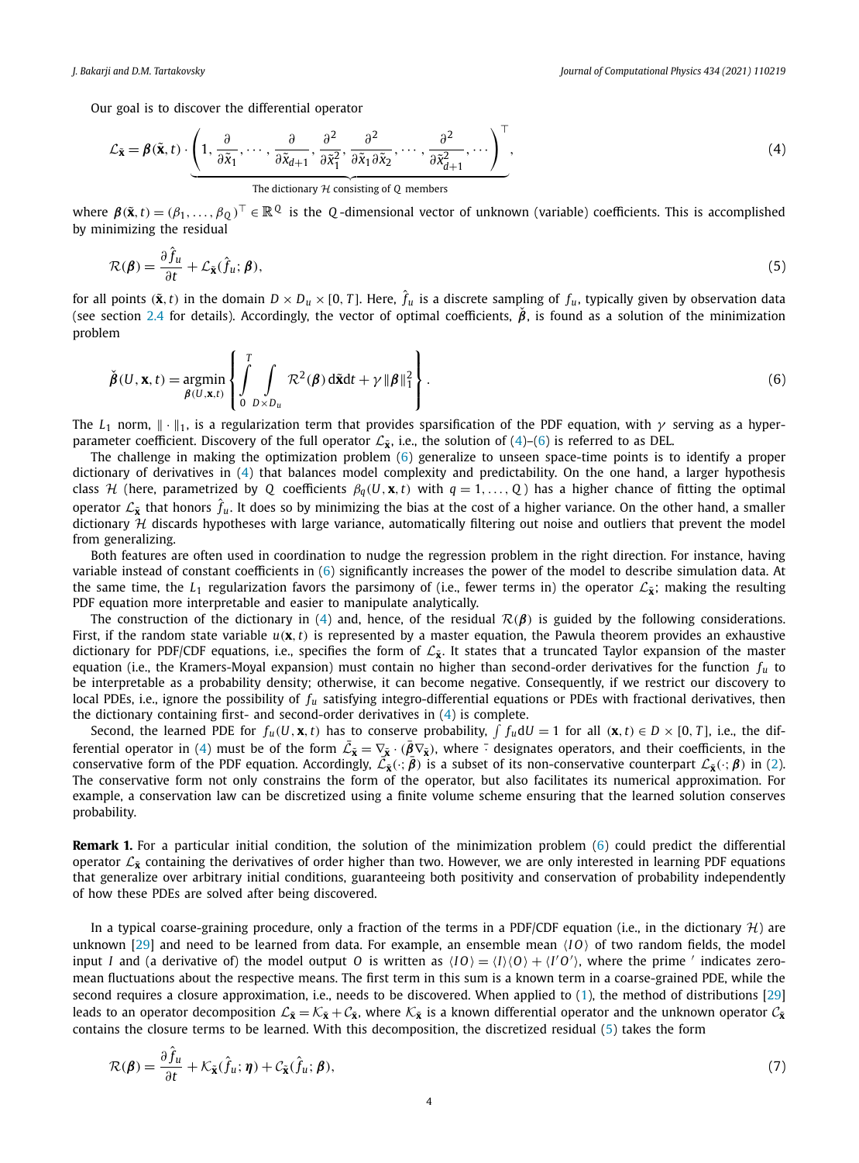<span id="page-3-0"></span>Our goal is to discover the differential operator

$$
\mathcal{L}_{\tilde{\mathbf{x}}} = \boldsymbol{\beta}(\tilde{\mathbf{x}}, t) \cdot \underbrace{\left(1, \frac{\partial}{\partial \tilde{x}_1}, \cdots, \frac{\partial}{\partial \tilde{x}_{d+1}}, \frac{\partial^2}{\partial \tilde{x}_1^2}, \frac{\partial^2}{\partial \tilde{x}_1 \partial \tilde{x}_2}, \cdots, \frac{\partial^2}{\partial \tilde{x}_{d+1}^2}, \cdots\right)^{\top}}_{\text{The dictionary } \mathcal{H} \text{ consisting of } Q \text{ members}},
$$
\n(4)

where  $\beta(\tilde{\mathbf{x}},t) = (\beta_1,\ldots,\beta_0)^\top \in \mathbb{R}^Q$  is the *Q*-dimensional vector of unknown (variable) coefficients. This is accomplished by minimizing the residual

$$
\mathcal{R}(\boldsymbol{\beta}) = \frac{\partial \hat{f}_u}{\partial t} + \mathcal{L}_{\tilde{\mathbf{x}}}(\hat{f}_u; \boldsymbol{\beta}),
$$
\n(5)

for all points  $(\tilde{\bf x},t)$  in the domain  $D\times D_u\times [0,T]$ . Here,  $\hat{f}_u$  is a discrete sampling of  $f_u$ , typically given by observation data (see section [2.4](#page-4-0) for details). Accordingly, the vector of optimal coefficients,  $\hat{\beta}$ , is found as a solution of the minimization problem

$$
\check{\boldsymbol{\beta}}(U,\mathbf{x},t) = \underset{\boldsymbol{\beta}(U,\mathbf{x},t)}{\text{argmin}} \left\{ \int_{0}^{T} \int_{D \times D_u} \mathcal{R}^2(\boldsymbol{\beta}) \, d\tilde{\mathbf{x}} dt + \gamma \left\| \boldsymbol{\beta} \right\|^2_1 \right\}.
$$
\n(6)

The *L*<sub>1</sub> norm,  $\|\cdot\|_1$ , is a regularization term that provides sparsification of the PDF equation, with *γ* serving as a hyperparameter coefficient. Discovery of the full operator  $\mathcal{L}_{\bar{\mathbf{x}}}$ , i.e., the solution of (4)–(6) is referred to as DEL.

The challenge in making the optimization problem (6) generalize to unseen space-time points is to identify a proper dictionary of derivatives in (4) that balances model complexity and predictability. On the one hand, a larger hypothesis class *H* (here, parametrized by *Q* coefficients  $\beta_q(U, \mathbf{x}, t)$  with  $q = 1, \ldots, Q$ ) has a higher chance of fitting the optimal operator  $\mathcal{L}_{\tilde{\mathbf{x}}}$  that honors  $\hat{f}_u$ . It does so by minimizing the bias at the cost of a higher variance. On the other hand, a smaller dictionary  $H$  discards hypotheses with large variance, automatically filtering out noise and outliers that prevent the model from generalizing.

Both features are often used in coordination to nudge the regression problem in the right direction. For instance, having variable instead of constant coefficients in (6) significantly increases the power of the model to describe simulation data. At the same time, the *L*<sub>1</sub> regularization favors the parsimony of (i.e., fewer terms in) the operator  $\mathcal{L}_{\tilde{\mathbf{x}}}$ ; making the resulting PDF equation more interpretable and easier to manipulate analytically.

The construction of the dictionary in (4) and, hence, of the residual R*(β)* is guided by the following considerations. First, if the random state variable  $u(\mathbf{x}, t)$  is represented by a master equation, the Pawula theorem provides an exhaustive dictionary for PDF/CDF equations, i.e., specifies the form of  $\mathcal{L}_{\bar{X}}$ . It states that a truncated Taylor expansion of the master equation (i.e., the Kramers-Moyal expansion) must contain no higher than second-order derivatives for the function *fu* to be interpretable as a probability density; otherwise, it can become negative. Consequently, if we restrict our discovery to local PDEs, i.e., ignore the possibility of  $f_u$  satisfying integro-differential equations or PDEs with fractional derivatives, then the dictionary containing first- and second-order derivatives in (4) is complete.

Second, the learned PDE for  $f_u(U, \mathbf{x}, t)$  has to conserve probability,  $\int f_u dU = 1$  for all  $(\mathbf{x}, t) \in D \times [0, T]$ , i.e., the differential operator in (4) must be of the form  $\bar{\mathcal{L}}_{\bar{\mathbf{x}}} = \nabla_{\bar{\mathbf{x}}} \cdot (\bar{\beta} \nabla_{\bar{\mathbf{x}}})$ , where  $\bar{\beta}$  designates operators, and their coefficients, in the conservative form of the PDF equation. Accordingly,  $\overline{L}_{\overline{\mathbf{x}}}(\cdot;\overline{\beta})$  is a subset of its non-conservative counterpart  $\mathcal{L}_{\overline{\mathbf{x}}}(\cdot;\beta)$  in ([2](#page-2-0)). The conservative form not only constrains the form of the operator, but also facilitates its numerical approximation. For example, a conservation law can be discretized using a finite volume scheme ensuring that the learned solution conserves probability.

**Remark 1.** For a particular initial condition, the solution of the minimization problem (6) could predict the differential operator  $\mathcal{L}_{\tilde{x}}$  containing the derivatives of order higher than two. However, we are only interested in learning PDF equations that generalize over arbitrary initial conditions, guaranteeing both positivity and conservation of probability independently of how these PDEs are solved after being discovered.

In a typical coarse-graining procedure, only a fraction of the terms in a PDF/CDF equation (i.e., in the dictionary  $\mathcal{H}$ ) are unknown [\[29\]](#page-16-0) and need to be learned from data. For example, an ensemble mean  $(10)$  of two random fields, the model input *I* and (a derivative of) the model output *O* is written as  $\langle IO \rangle = \langle I \rangle \langle O \rangle + \langle I'O' \rangle$ , where the prime *'* indicates zeromean fluctuations about the respective means. The first term in this sum is a known term in a coarse-grained PDE, while the second requires a closure approximation, i.e., needs to be discovered. When applied to [\(1\)](#page-1-0), the method of distributions [\[29](#page-16-0)] leads to an operator decomposition  $\mathcal{L}_{\tilde{\mathbf{x}}} = \mathcal{K}_{\tilde{\mathbf{x}}} + \mathcal{C}_{\tilde{\mathbf{x}}}$ , where  $\mathcal{K}_{\tilde{\mathbf{x}}}$  is a known differential operator and the unknown operator  $\mathcal{C}_{\tilde{\mathbf{x}}}$ contains the closure terms to be learned. With this decomposition, the discretized residual (5) takes the form

$$
\mathcal{R}(\boldsymbol{\beta}) = \frac{\partial \hat{f}_u}{\partial t} + \mathcal{K}_{\tilde{\mathbf{x}}}(\hat{f}_u; \boldsymbol{\eta}) + \mathcal{C}_{\tilde{\mathbf{x}}}(\hat{f}_u; \boldsymbol{\beta}),
$$
\n(7)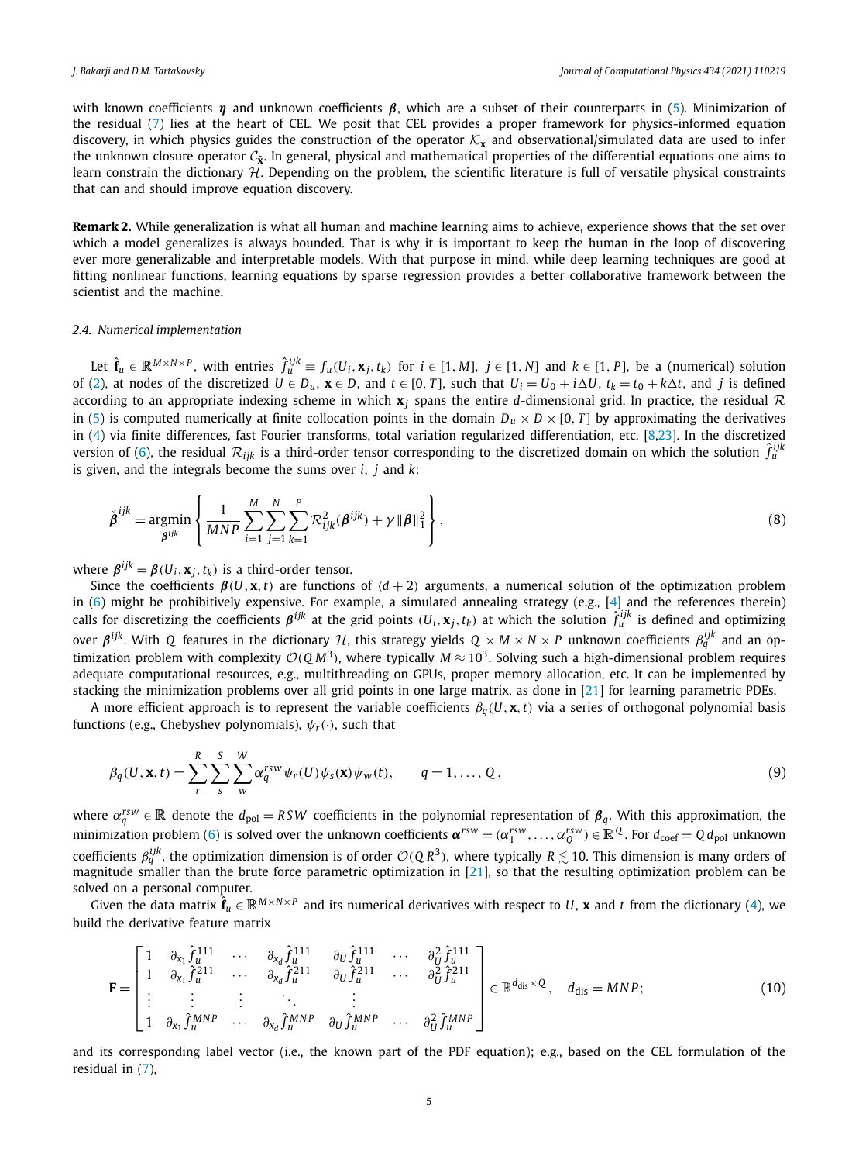<span id="page-4-0"></span>with known coefficients *η* and unknown coefficients *β*, which are a subset of their counterparts in [\(5](#page-3-0)). Minimization of the residual [\(7\)](#page-3-0) lies at the heart of CEL. We posit that CEL provides a proper framework for physics-informed equation discovery, in which physics guides the construction of the operator  $K_{\tilde{x}}$  and observational/simulated data are used to infer the unknown closure operator  $C_{\tilde{x}}$ . In general, physical and mathematical properties of the differential equations one aims to learn constrain the dictionary  $H$ . Depending on the problem, the scientific literature is full of versatile physical constraints that can and should improve equation discovery.

**Remark 2.** While generalization is what all human and machine learning aims to achieve, experience shows that the set over which a model generalizes is always bounded. That is why it is important to keep the human in the loop of discovering ever more generalizable and interpretable models. With that purpose in mind, while deep learning techniques are good at fitting nonlinear functions, learning equations by sparse regression provides a better collaborative framework between the scientist and the machine.

#### *2.4. Numerical implementation*

Let  $\hat{\mathbf{f}}_u \in \mathbb{R}^{M \times N \times P}$ , with entries  $\hat{f}_u^{ijk} \equiv f_u(U_i, \mathbf{x}_j, t_k)$  for  $i \in [1, M]$ ,  $j \in [1, N]$  and  $k \in [1, P]$ , be a (numerical) solution of [\(2](#page-2-0)), at nodes of the discretized  $U \in D_u$ ,  $\mathbf{x} \in D$ , and  $t \in [0, T]$ , such that  $U_i = U_0 + i \Delta U$ ,  $t_k = t_0 + k \Delta t$ , and j is defined according to an appropriate indexing scheme in which  $x_j$  spans the entire *d*-dimensional grid. In practice, the residual  $\mathcal R$ in [\(5\)](#page-3-0) is computed numerically at finite collocation points in the domain  $D_u \times D \times [0, T]$  by approximating the derivatives in [\(4](#page-3-0)) via finite differences, fast Fourier transforms, total variation regularized differentiation, etc. [\[8](#page-15-0),[23](#page-16-0)]. In the discretized version of [\(6\)](#page-3-0), the residual  $\mathcal{R}_{ijk}$  is a third-order tensor corresponding to the discretized domain on which the solution  $\hat{f}_{u}^{ijk}$ is given, and the integrals become the sums over *i*, *j* and *k*:

$$
\check{\beta}^{ijk} = \underset{\beta^{ijk}}{\text{argmin}} \left\{ \frac{1}{MNP} \sum_{i=1}^{M} \sum_{j=1}^{N} \sum_{k=1}^{P} \mathcal{R}_{ijk}^2(\beta^{ijk}) + \gamma ||\beta||_1^2 \right\},\tag{8}
$$

where  $\boldsymbol{\beta}^{ijk} = \boldsymbol{\beta}(U_i, \mathbf{x}_i, t_k)$  is a third-order tensor.

Since the coefficients  $\beta(U, \mathbf{x}, t)$  are functions of  $(d+2)$  arguments, a numerical solution of the optimization problem in ([6](#page-3-0)) might be prohibitively expensive. For example, a simulated annealing strategy (e.g., [\[4\]](#page-15-0) and the references therein) calls for discretizing the coefficients  $\beta^{ijk}$  at the grid points  $(U_i, x_j, t_k)$  at which the solution  $\hat{f}_u^{ijk}$  is defined and optimizing over  $\beta^{ijk}$ . With *Q* features in the dictionary *H*, this strategy yields  $Q \times M \times N \times P$  unknown coefficients  $β_q^{ijk}$  and an optimization problem with complexity  $O(QM^3)$ , where typically  $M \approx 10^3$ . Solving such a high-dimensional problem requires adequate computational resources, e.g., multithreading on GPUs, proper memory allocation, etc. It can be implemented by stacking the minimization problems over all grid points in one large matrix, as done in [\[21](#page-16-0)] for learning parametric PDEs.

A more efficient approach is to represent the variable coefficients  $\beta_q(U, \mathbf{x}, t)$  via a series of orthogonal polynomial basis functions (e.g., Chebyshev polynomials), *ψr(*·*)*, such that

$$
\beta_q(U, \mathbf{x}, t) = \sum_r^R \sum_s^S \sum_w^W \alpha_q^{rsw} \psi_r(U) \psi_s(\mathbf{x}) \psi_w(t), \qquad q = 1, ..., Q,
$$
\n(9)

where  $\alpha_q^{rsw} \in \mathbb{R}$  denote the  $d_{pol} = RSW$  coefficients in the polynomial representation of  $\beta_q$ . With this approximation, the minimization problem ([6](#page-3-0)) is solved over the unknown coefficients  $\pmb{\alpha}^{rsw} = (\alpha_1^{rsw}, \dots, \alpha_Q^{rsw}) \in \mathbb{R}^Q$ . For  $d_{\text{coef}} = Q d_{\text{pol}}$  unknown coefficients  $\beta_q^{ijk}$ , the optimization dimension is of order  $O(QR^3)$ , where typically  $R \lesssim 10$ . This dimension is many orders of magnitude smaller than the brute force parametric optimization in [[21\]](#page-16-0), so that the resulting optimization problem can be solved on a personal computer.

Given the data matrix  $\hat{\bf f}_u \in \mathbb{R}^{M \times N \times P}$  and its numerical derivatives with respect to U, **x** and t from the dictionary [\(4\)](#page-3-0), we build the derivative feature matrix

$$
\mathbf{F} = \begin{bmatrix} 1 & \partial_{x_1} \hat{f}_{u}^{111} & \cdots & \partial_{x_d} \hat{f}_{u}^{111} & \partial_{U} \hat{f}_{u}^{111} & \cdots & \partial_{U}^{2} \hat{f}_{u}^{111} \\ 1 & \partial_{x_1} \hat{f}_{u}^{211} & \cdots & \partial_{x_d} \hat{f}_{u}^{211} & \partial_{U} \hat{f}_{u}^{211} & \cdots & \partial_{U}^{2} \hat{f}_{u}^{211} \\ \vdots & \vdots & \vdots & \ddots & \vdots \\ 1 & \partial_{x_1} \hat{f}_{u}^{MNP} & \cdots & \partial_{x_d} \hat{f}_{u}^{MNP} & \partial_{U} \hat{f}_{u}^{MNP} & \cdots & \partial_{U}^{2} \hat{f}_{u}^{MNP} \end{bmatrix} \in \mathbb{R}^{d_{\text{dis}} \times Q}, \quad d_{\text{dis}} = MNP; \tag{10}
$$

and its corresponding label vector (i.e., the known part of the PDF equation); e.g., based on the CEL formulation of the residual in [\(7](#page-3-0)),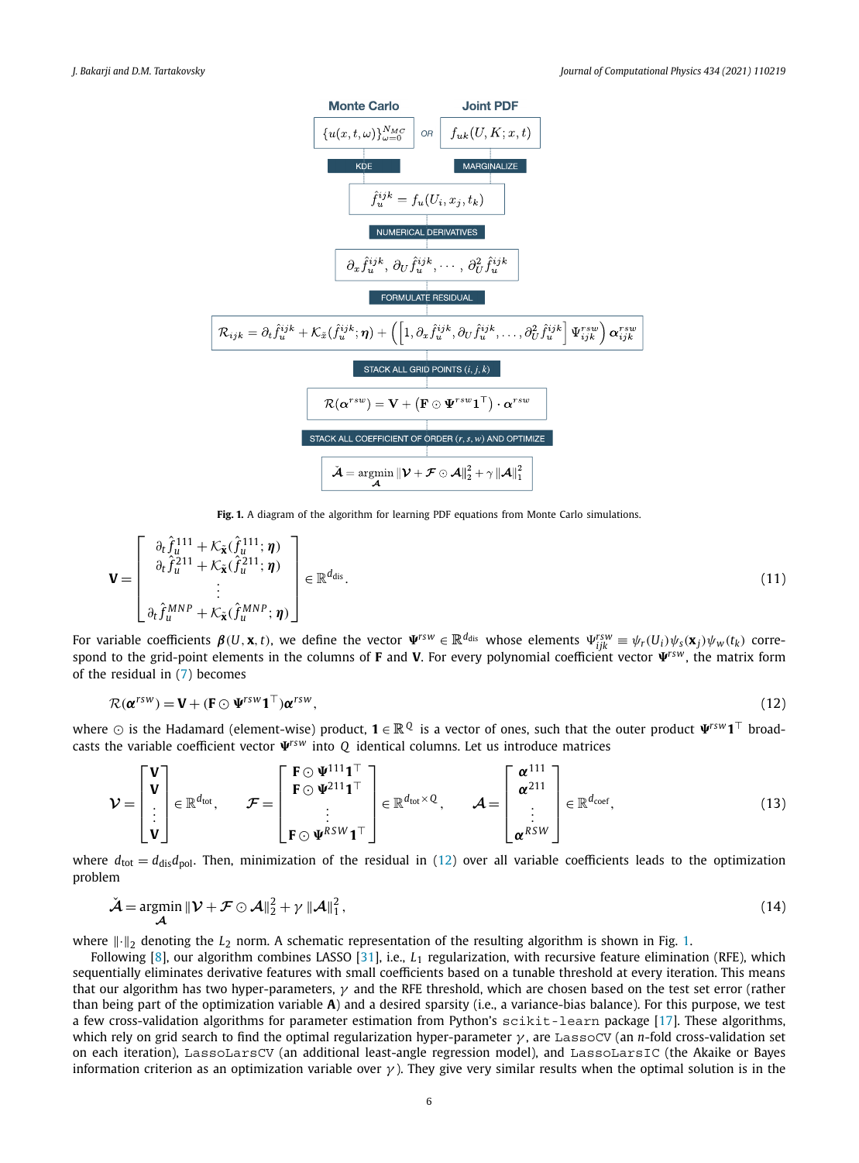<span id="page-5-0"></span>

Fig. 1. A diagram of the algorithm for learning PDF equations from Monte Carlo simulations.

$$
\mathbf{V} = \begin{bmatrix} \frac{\partial_t \hat{f}_u^{111} + \mathcal{K}_{\tilde{\mathbf{x}}}(\hat{f}_u^{111}; \boldsymbol{\eta})}{\partial_t \hat{f}_u^{211} + \mathcal{K}_{\tilde{\mathbf{x}}}(\hat{f}_u^{211}; \boldsymbol{\eta})} \\ \vdots \\ \frac{\partial_t \hat{f}_u^{MNP} + \mathcal{K}_{\tilde{\mathbf{x}}}(\hat{f}_u^{MNP}; \boldsymbol{\eta})}{\partial_t \hat{f}_u^{MNP} + \mathcal{K}_{\tilde{\mathbf{x}}}(\hat{f}_u^{MNP}; \boldsymbol{\eta})} \end{bmatrix} \in \mathbb{R}^{d_{\text{dis}}}. \tag{11}
$$

For variable coefficients  $\pmb{\beta}(U,\pmb{x},t)$ , we define the vector  $\Psi^{rsw}\in\mathbb{R}^{d_{\text{dis}}}$  whose elements  $\Psi^{rsw}_{ijk}\equiv\psi_r(U_i)\psi_s(\pmb{x}_j)\psi_w(t_k)$  correspond to the grid-point elements in the columns of **F** and **V**. For every polynomial coefficient vector  $\Psi^{rsw}$ , the matrix form of the residual in [\(7](#page-3-0)) becomes

$$
\mathcal{R}(\boldsymbol{\alpha}^{rsw}) = \mathbf{V} + (\mathbf{F} \odot \boldsymbol{\Psi}^{rsw} \mathbf{1}^\top) \boldsymbol{\alpha}^{rsw},\tag{12}
$$

where  $\odot$  is the Hadamard (element-wise) product,  $\mathbf{1} \in \mathbb{R}^Q$  is a vector of ones, such that the outer product  $\Psi^{rsw} \mathbf{1}^\top$  broadcasts the variable coefficient vector  $\Psi^{rsw}$  into  $Q$  identical columns. Let us introduce matrices

$$
\mathcal{V} = \begin{bmatrix} \mathbf{V} \\ \mathbf{V} \\ \vdots \\ \mathbf{V} \end{bmatrix} \in \mathbb{R}^{d_{\text{tot}}}, \qquad \mathcal{F} = \begin{bmatrix} \mathbf{F} \odot \Psi^{111} \mathbf{1}^{\top} \\ \mathbf{F} \odot \Psi^{211} \mathbf{1}^{\top} \\ \vdots \\ \mathbf{F} \odot \Psi^{RSW} \mathbf{1}^{\top} \end{bmatrix} \in \mathbb{R}^{d_{\text{tot}} \times Q}, \qquad \mathcal{A} = \begin{bmatrix} \boldsymbol{\alpha}^{111} \\ \boldsymbol{\alpha}^{211} \\ \vdots \\ \boldsymbol{\alpha}^{RSW} \end{bmatrix} \in \mathbb{R}^{d_{\text{coef}}}, \qquad (13)
$$

where  $d_{\text{tot}} = d_{\text{dis}}d_{\text{pol}}$ . Then, minimization of the residual in (12) over all variable coefficients leads to the optimization problem

$$
\check{\mathcal{A}} = \underset{\mathcal{A}}{\operatorname{argmin}} \|\mathcal{V} + \mathcal{F} \odot \mathcal{A}\|_{2}^{2} + \gamma \|\mathcal{A}\|_{1}^{2},\tag{14}
$$

where  $\|\cdot\|_2$  denoting the  $L_2$  norm. A schematic representation of the resulting algorithm is shown in Fig. 1.

Following [[8](#page-15-0)], our algorithm combines LASSO [\[31\]](#page-16-0), i.e., *L*<sup>1</sup> regularization, with recursive feature elimination (RFE), which sequentially eliminates derivative features with small coefficients based on a tunable threshold at every iteration. This means that our algorithm has two hyper-parameters, *γ* and the RFE threshold, which are chosen based on the test set error (rather than being part of the optimization variable **A**) and a desired sparsity (i.e., a variance-bias balance). For this purpose, we test a few cross-validation algorithms for parameter estimation from Python's scikit-learn package [\[17](#page-16-0)]. These algorithms, which rely on grid search to find the optimal regularization hyper-parameter *γ* , are LassoCV (an *n*-fold cross-validation set on each iteration), LassoLarsCV (an additional least-angle regression model), and LassoLarsIC (the Akaike or Bayes information criterion as an optimization variable over  $\gamma$ ). They give very similar results when the optimal solution is in the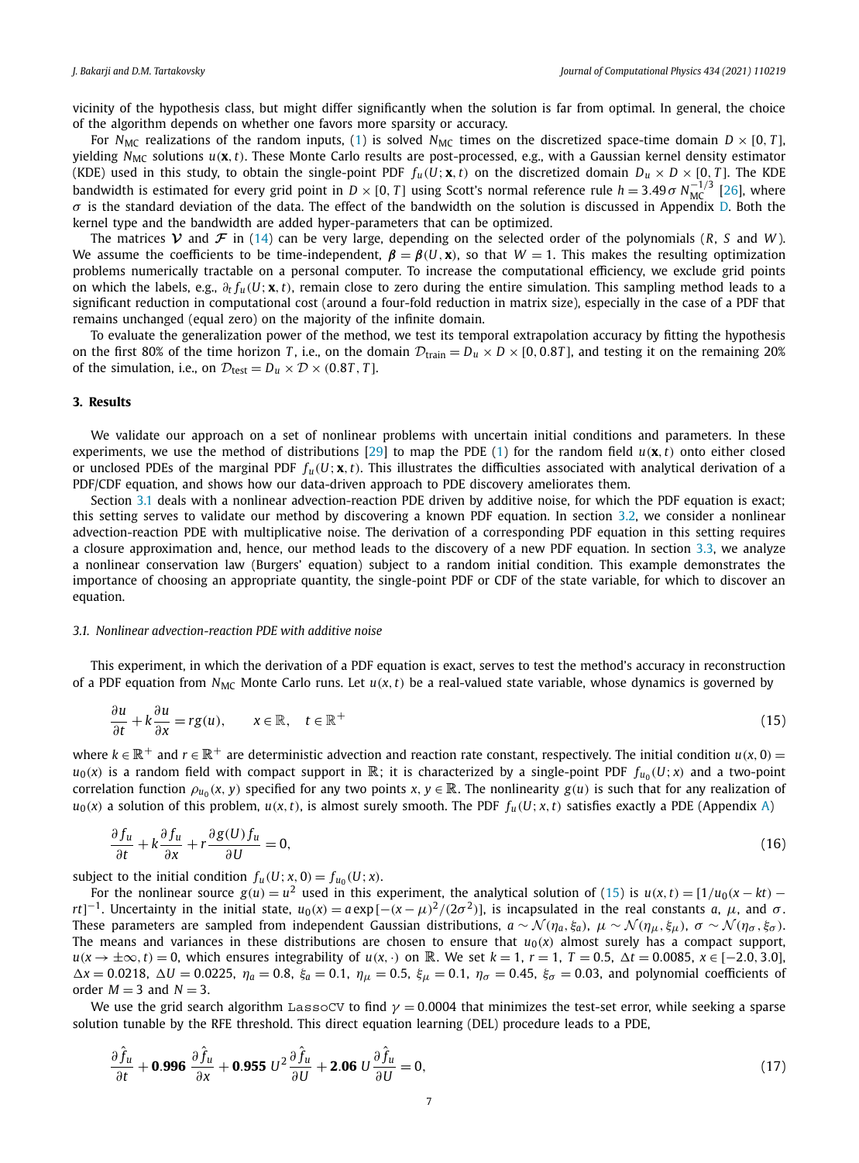<span id="page-6-0"></span>vicinity of the hypothesis class, but might differ significantly when the solution is far from optimal. In general, the choice of the algorithm depends on whether one favors more sparsity or accuracy.

For *N<sub>MC</sub>* realizations of the random inputs, [\(1](#page-1-0)) is solved *N<sub>MC</sub>* times on the discretized space-time domain  $D \times [0, T]$ , yielding *N<sub>MC</sub>* solutions *u*(**x**,*t*). These Monte Carlo results are post-processed, e.g., with a Gaussian kernel density estimator (KDE) used in this study, to obtain the single-point PDF  $f_u(U; \mathbf{x}, t)$  on the discretized domain  $D_u \times D \times [0, T]$ . The KDE bandwidth is estimated for every grid point in *D* × [0, *T*] using Scott's normal reference rule *h* = 3.49  $\sigma$  *N*<sub>MC</sub><sup>-1/3</sup> [[26](#page-16-0)], where *σ* is the standard deviation of the data. The effect of the bandwidth on the solution is discussed in Appendix [D.](#page-14-0) Both the kernel type and the bandwidth are added hyper-parameters that can be optimized.

The matrices  $V$  and  $F$  in ([14\)](#page-5-0) can be very large, depending on the selected order of the polynomials (*R*, *S* and *W*). We assume the coefficients to be time-independent,  $\beta = \beta(U, \mathbf{x})$ , so that  $W = 1$ . This makes the resulting optimization problems numerically tractable on a personal computer. To increase the computational efficiency, we exclude grid points on which the labels, e.g., *∂<sup>t</sup> fu(U*; **x***,t)*, remain close to zero during the entire simulation. This sampling method leads to a significant reduction in computational cost (around a four-fold reduction in matrix size), especially in the case of a PDF that remains unchanged (equal zero) on the majority of the infinite domain.

To evaluate the generalization power of the method, we test its temporal extrapolation accuracy by fitting the hypothesis on the first 80% of the time horizon *T*, i.e., on the domain  $D_{\text{train}} = D_u \times D \times [0, 0.8T]$ , and testing it on the remaining 20% of the simulation, i.e., on  $D_{\text{test}} = D_u \times D \times (0.8T, T)$ .

#### **3. Results**

We validate our approach on a set of nonlinear problems with uncertain initial conditions and parameters. In these experiments, we use the method of distributions [[29](#page-16-0)] to map the PDE [\(1\)](#page-1-0) for the random field *u(***x***,t)* onto either closed or unclosed PDEs of the marginal PDF  $f_u(U; \mathbf{x}, t)$ . This illustrates the difficulties associated with analytical derivation of a PDF/CDF equation, and shows how our data-driven approach to PDE discovery ameliorates them.

Section 3.1 deals with a nonlinear advection-reaction PDE driven by additive noise, for which the PDF equation is exact; this setting serves to validate our method by discovering a known PDF equation. In section [3.2,](#page-8-0) we consider a nonlinear advection-reaction PDE with multiplicative noise. The derivation of a corresponding PDF equation in this setting requires a closure approximation and, hence, our method leads to the discovery of a new PDF equation. In section [3.3,](#page-10-0) we analyze a nonlinear conservation law (Burgers' equation) subject to a random initial condition. This example demonstrates the importance of choosing an appropriate quantity, the single-point PDF or CDF of the state variable, for which to discover an equation.

#### *3.1. Nonlinear advection-reaction PDE with additive noise*

This experiment, in which the derivation of a PDF equation is exact, serves to test the method's accuracy in reconstruction of a PDF equation from  $N_{MC}$  Monte Carlo runs. Let  $u(x, t)$  be a real-valued state variable, whose dynamics is governed by

$$
\frac{\partial u}{\partial t} + k \frac{\partial u}{\partial x} = rg(u), \qquad x \in \mathbb{R}, \quad t \in \mathbb{R}^+\tag{15}
$$

where  $k \in \mathbb{R}^+$  and  $r \in \mathbb{R}^+$  are deterministic advection and reaction rate constant, respectively. The initial condition  $u(x, 0)$  =  $u_0(x)$  is a random field with compact support in  $\mathbb{R}$ ; it is characterized by a single-point PDF  $f_{u_0}(U; x)$  and a two-point correlation function  $\rho_{u_0}(x, y)$  specified for any two points x,  $y \in \mathbb{R}$ . The nonlinearity  $g(u)$  is such that for any realization of  $u_0(x)$  a solution of this problem,  $u(x, t)$ , is almost surely smooth. The PDF  $f_u(U; x, t)$  satisfies exactly a PDE (Appendix [A\)](#page-13-0)

$$
\frac{\partial f_u}{\partial t} + k \frac{\partial f_u}{\partial x} + r \frac{\partial g(U) f_u}{\partial U} = 0,\tag{16}
$$

subject to the initial condition  $f_u(U; x, 0) = f_{u_0}(U; x)$ .

For the nonlinear source  $g(u) = u^2$  used in this experiment, the analytical solution of (15) is  $u(x, t) = [1/u_0(x - kt)$ rt]<sup>-1</sup>. Uncertainty in the initial state,  $u_0(x) = a \exp[-(x-\mu)^2/(2\sigma^2)]$ , is incapsulated in the real constants a,  $\mu$ , and  $\sigma$ . These parameters are sampled from independent Gaussian distributions,  $a \sim \mathcal{N}(\eta_a, \xi_a)$ ,  $\mu \sim \mathcal{N}(\eta_a, \xi_a)$ ,  $\sigma \sim \mathcal{N}(\eta_{\sigma}, \xi_{\sigma})$ . The means and variances in these distributions are chosen to ensure that  $u_0(x)$  almost surely has a compact support,  $u(x \to \pm \infty, t) = 0$ , which ensures integrability of  $u(x, \cdot)$  on  $\mathbb R$ . We set  $k = 1$ ,  $r = 1$ ,  $T = 0.5$ ,  $\Delta t = 0.0085$ ,  $x \in [-2.0, 3.0]$ ,  $\Delta x = 0.0218$ ,  $\Delta U = 0.0225$ ,  $\eta_a = 0.8$ ,  $\xi_a = 0.1$ ,  $\eta_{\mu} = 0.5$ ,  $\xi_{\mu} = 0.1$ ,  $\eta_{\sigma} = 0.45$ ,  $\xi_{\sigma} = 0.03$ , and polynomial coefficients of order  $M = 3$  and  $N = 3$ .

We use the grid search algorithm LassoCV to find  $\gamma = 0.0004$  that minimizes the test-set error, while seeking a sparse solution tunable by the RFE threshold. This direct equation learning (DEL) procedure leads to a PDE,

$$
\frac{\partial \hat{f}_u}{\partial t} + \mathbf{0.996} \frac{\partial \hat{f}_u}{\partial x} + \mathbf{0.955} U^2 \frac{\partial \hat{f}_u}{\partial U} + \mathbf{2.06} U \frac{\partial \hat{f}_u}{\partial U} = 0,
$$
\n(17)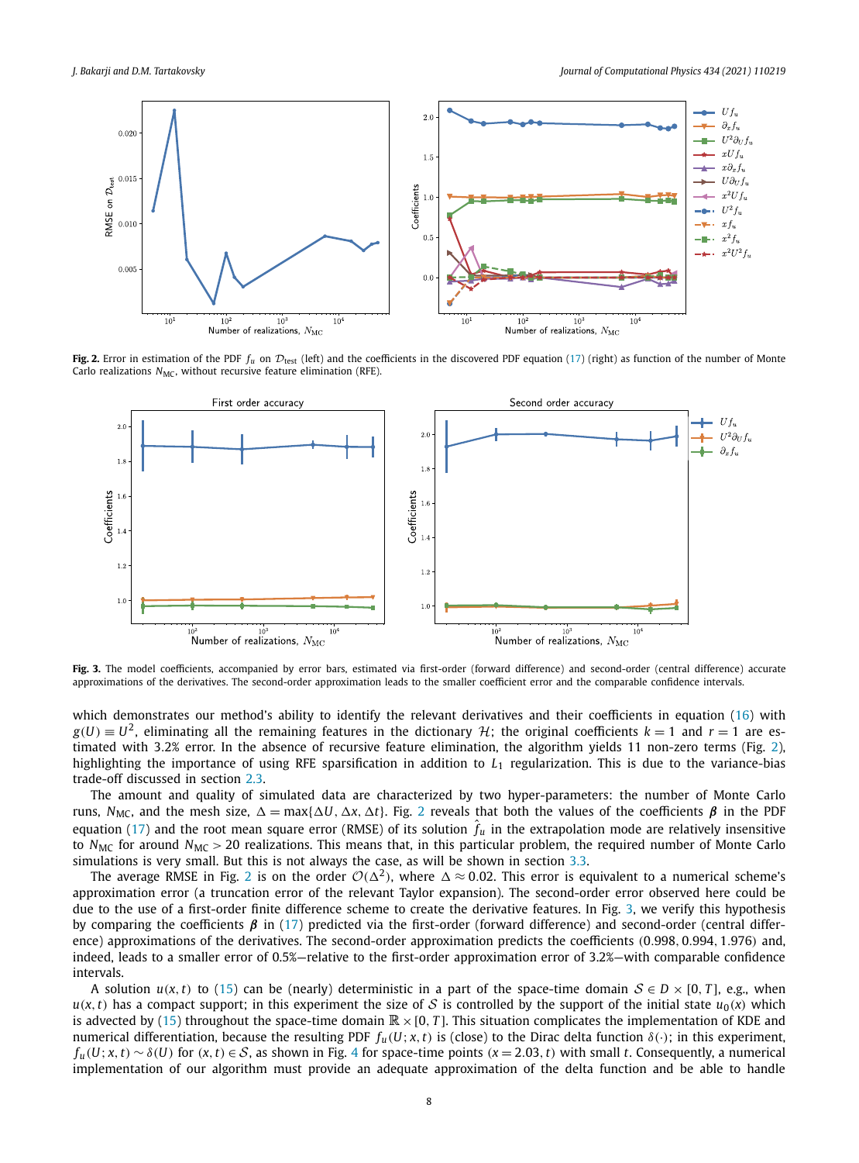

Fig. 2. Error in estimation of the PDF  $f_u$  on  $\mathcal{D}_{\text{test}}$  (left) and the coefficients in the discovered PDF equation [\(17](#page-6-0)) (right) as function of the number of Monte Carlo realizations  $N_{MC}$ , without recursive feature elimination (RFE).



Fig. 3. The model coefficients, accompanied by error bars, estimated via first-order (forward difference) and second-order (central difference) accurate approximations of the derivatives. The second-order approximation leads to the smaller coefficient error and the comparable confidence intervals.

which demonstrates our method's ability to identify the relevant derivatives and their coefficients in equation [\(16](#page-6-0)) with  $g(U) \equiv U^2$ , eliminating all the remaining features in the dictionary  $H$ ; the original coefficients  $k = 1$  and  $r = 1$  are estimated with 3*.*2% error. In the absence of recursive feature elimination, the algorithm yields 11 non-zero terms (Fig. 2), highlighting the importance of using RFE sparsification in addition to *L*<sup>1</sup> regularization. This is due to the variance-bias trade-off discussed in section [2.3](#page-2-0).

The amount and quality of simulated data are characterized by two hyper-parameters: the number of Monte Carlo runs, *N<sub>MC</sub>*, and the mesh size,  $\Delta = \max{\{\Delta U, \Delta x, \Delta t\}}$ . Fig. 2 reveals that both the values of the coefficients *β* in the PDF equation [\(17\)](#page-6-0) and the root mean square error (RMSE) of its solution  $\hat{f}_u$  in the extrapolation mode are relatively insensitive to *N<sub>MC</sub>* for around *N<sub>MC</sub>* > 20 realizations. This means that, in this particular problem, the required number of Monte Carlo simulations is very small. But this is not always the case, as will be shown in section [3.3](#page-10-0).

The average RMSE in Fig. 2 is on the order  $\mathcal{O}(\Delta^2)$ , where  $\Delta \approx 0.02$ . This error is equivalent to a numerical scheme's approximation error (a truncation error of the relevant Taylor expansion). The second-order error observed here could be due to the use of a first-order finite difference scheme to create the derivative features. In Fig. 3, we verify this hypothesis by comparing the coefficients *β* in [\(17\)](#page-6-0) predicted via the first-order (forward difference) and second-order (central difference) approximations of the derivatives. The second-order approximation predicts the coefficients *(*0*.*998*,* 0*.*994*,* 1*.*976*)* and, indeed, leads to a smaller error of 0.5%—relative to the first-order approximation error of 3.2%—with comparable confidence intervals.

A solution  $u(x, t)$  to ([15\)](#page-6-0) can be (nearly) deterministic in a part of the space-time domain  $S \in D \times [0, T]$ , e.g., when  $u(x, t)$  has a compact support; in this experiment the size of S is controlled by the support of the initial state  $u_0(x)$  which is advected by ([15\)](#page-6-0) throughout the space-time domain  $\mathbb{R}\times[0,T]$ . This situation complicates the implementation of KDE and numerical differentiation, because the resulting PDF  $f_u(U; x, t)$  is (close) to the Dirac delta function  $\delta(\cdot)$ ; in this experiment,  $f_u(U; x, t) \sim \delta(U)$  for  $(x, t) \in S$ , as shown in Fig. [4](#page-8-0) for space-time points  $(x = 2.03, t)$  with small t. Consequently, a numerical implementation of our algorithm must provide an adequate approximation of the delta function and be able to handle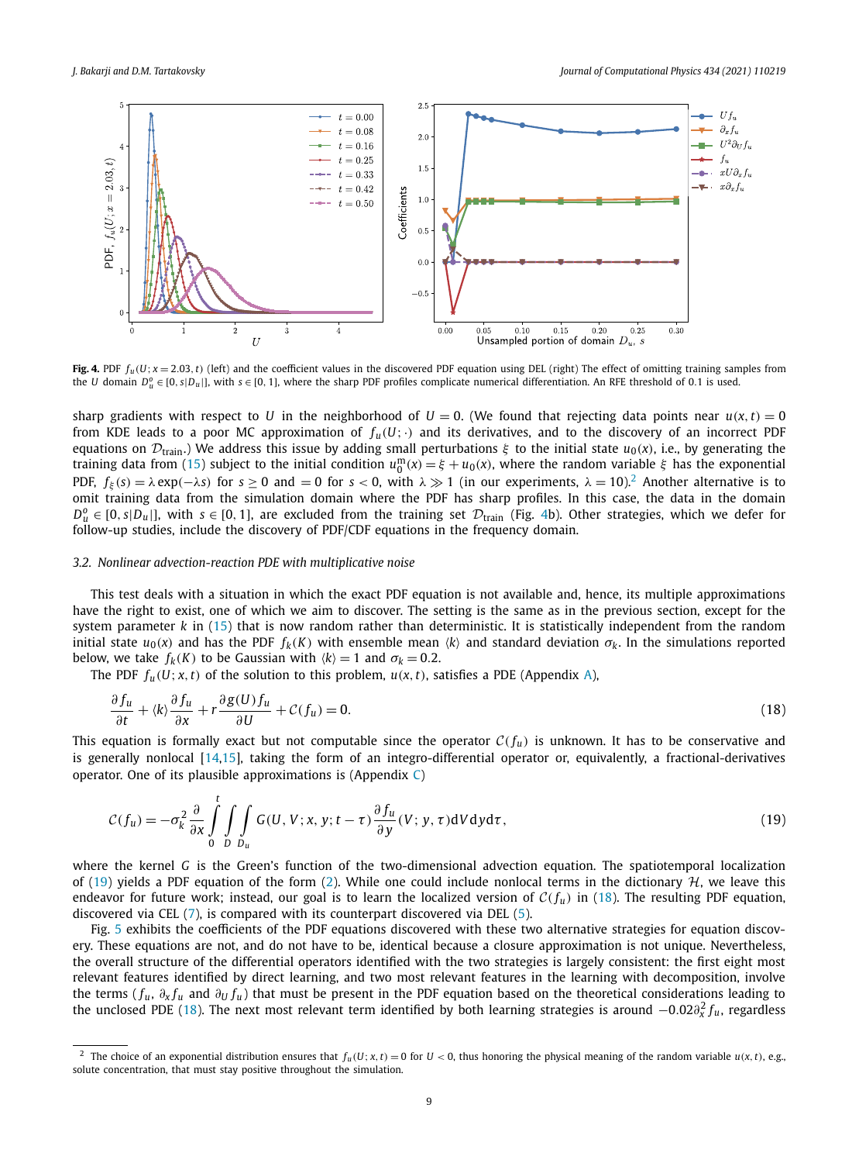<span id="page-8-0"></span>

**Fig. 4.** PDF  $f_u(U; x = 2.03, t)$  (left) and the coefficient values in the discovered PDF equation using DEL (right) The effect of omitting training samples from the *U* domain  $D_u^0 \in [0, s|D_u|]$ , with  $s \in [0, 1]$ , where the sharp PDF profiles complicate numerical differentiation. An RFE threshold of 0.1 is used.

sharp gradients with respect to *U* in the neighborhood of  $U = 0$ . (We found that rejecting data points near  $u(x, t) = 0$ from KDE leads to a poor MC approximation of  $f_u(U; \cdot)$  and its derivatives, and to the discovery of an incorrect PDF equations on  $D_{train}$ .) We address this issue by adding small perturbations *ξ* to the initial state  $u_0(x)$ , i.e., by generating the training data from ([15\)](#page-6-0) subject to the initial condition  $u_0^m(x) = \xi + u_0(x)$ , where the random variable  $\xi$  has the exponential PDF,  $f_{\xi}(s) = \lambda \exp(-\lambda s)$  for  $s \ge 0$  and  $= 0$  for  $s < 0$ , with  $\lambda \gg 1$  (in our experiments,  $\lambda = 10$ ).<sup>2</sup> Another alternative is to omit training data from the simulation domain where the PDF has sharp profiles. In this case, the data in the domain  $D_{\mu}^0$  ∈ [0, *s*|*D<sub>u</sub>*|], with *s* ∈ [0, 1], are excluded from the training set  $\mathcal{D}_{\text{train}}$  (Fig. 4b). Other strategies, which we defer for follow-up studies, include the discovery of PDF/CDF equations in the frequency domain.

#### *3.2. Nonlinear advection-reaction PDE with multiplicative noise*

This test deals with a situation in which the exact PDF equation is not available and, hence, its multiple approximations have the right to exist, one of which we aim to discover. The setting is the same as in the previous section, except for the system parameter *k* in ([15](#page-6-0)) that is now random rather than deterministic. It is statistically independent from the random initial state  $u_0(x)$  and has the PDF  $f_k(K)$  with ensemble mean  $\langle k \rangle$  and standard deviation  $\sigma_k$ . In the simulations reported below, we take  $f_k(K)$  to be Gaussian with  $\langle k \rangle = 1$  and  $\sigma_k = 0.2$ .

The PDF  $f_u(U; x, t)$  of the solution to this problem,  $u(x, t)$ , satisfies a PDE (Appendix [A\)](#page-13-0),

$$
\frac{\partial f_u}{\partial t} + \langle k \rangle \frac{\partial f_u}{\partial x} + r \frac{\partial g(U) f_u}{\partial U} + \mathcal{C}(f_u) = 0. \tag{18}
$$

This equation is formally exact but not computable since the operator  $C(f_u)$  is unknown. It has to be conservative and is generally nonlocal [\[14,15\]](#page-16-0), taking the form of an integro-differential operator or, equivalently, a fractional-derivatives operator. One of its plausible approximations is (Appendix  $\mathcal{C}$  $\mathcal{C}$  $\mathcal{C}$ )

$$
\mathcal{C}(f_u) = -\sigma_k^2 \frac{\partial}{\partial x} \int_0^t \int_D \int_{D_u} G(U, V; x, y; t - \tau) \frac{\partial f_u}{\partial y}(V; y, \tau) dV dy d\tau, \tag{19}
$$

where the kernel *G* is the Green's function of the two-dimensional advection equation. The spatiotemporal localization of (19) yields a PDF equation of the form ([2](#page-2-0)). While one could include nonlocal terms in the dictionary  $H$ , we leave this endeavor for future work; instead, our goal is to learn the localized version of  $C(f_u)$  in (18). The resulting PDF equation, discovered via CEL [\(7](#page-3-0)), is compared with its counterpart discovered via DEL [\(5\)](#page-3-0).

Fig. [5](#page-9-0) exhibits the coefficients of the PDF equations discovered with these two alternative strategies for equation discovery. These equations are not, and do not have to be, identical because a closure approximation is not unique. Nevertheless, the overall structure of the differential operators identified with the two strategies is largely consistent: the first eight most relevant features identified by direct learning, and two most relevant features in the learning with decomposition, involve the terms ( $f_u$ ,  $\partial_x f_u$  and  $\partial_y f_u$ ) that must be present in the PDF equation based on the theoretical considerations leading to the unclosed PDE (18). The next most relevant term identified by both learning strategies is around  $-0.02\partial_x^2 f_u$ , regardless

<sup>&</sup>lt;sup>2</sup> The choice of an exponential distribution ensures that  $f_u(U; x, t) = 0$  for  $U < 0$ , thus honoring the physical meaning of the random variable  $u(x, t)$ , e.g., solute concentration, that must stay positive throughout the simulation.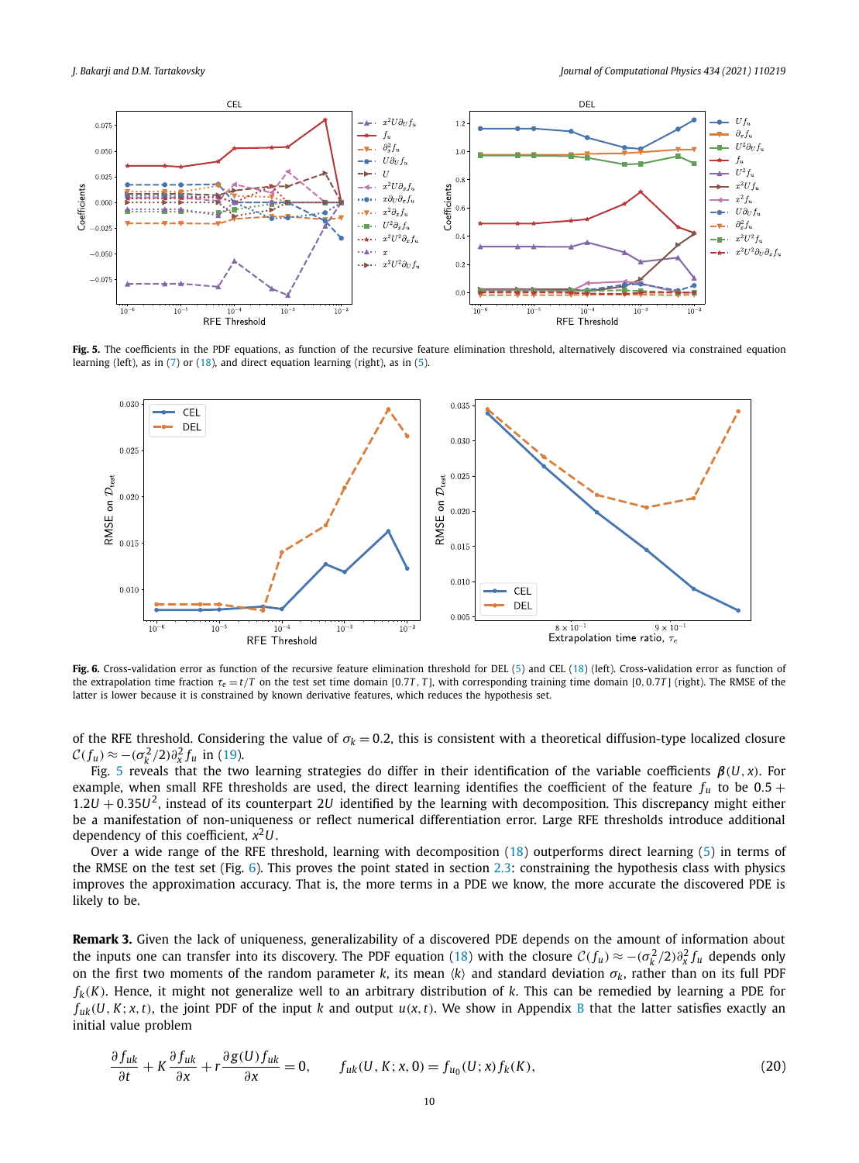<span id="page-9-0"></span>

**Fig. 5.** The coefficients in the PDF equations, as function of the recursive feature elimination threshold, alternatively discovered via constrained equation learning (left), as in ([7\)](#page-3-0) or [\(18\)](#page-8-0), and direct equation learning (right), as in [\(5\)](#page-3-0).



Fig. 6. Cross-validation error as function of the recursive feature elimination threshold for DEL ([5](#page-3-0)) and CEL [\(18](#page-8-0)) (left). Cross-validation error as function of the extrapolation time fraction  $\tau_e = t/T$  on the test set time domain [0.7T, T], with corresponding training time domain [0,0.7T] (right). The RMSE of the latter is lower because it is constrained by known derivative features, which reduces the hypothesis set.

of the RFE threshold. Considering the value of  $\sigma_k = 0.2$ , this is consistent with a theoretical diffusion-type localized closure  $\mathcal{C}(f_u) \approx -(\sigma_k^2/2)\partial_x^2 f_u$  in [\(19](#page-8-0)).

Fig. 5 reveals that the two learning strategies do differ in their identification of the variable coefficients *β(U, x)*. For example, when small RFE thresholds are used, the direct learning identifies the coefficient of the feature  $f_u$  to be 0.5 + 1*.*2*U* + 0*.*35*U*2, instead of its counterpart 2*U* identified by the learning with decomposition. This discrepancy might either be a manifestation of non-uniqueness or reflect numerical differentiation error. Large RFE thresholds introduce additional dependency of this coefficient, *x*2*U*.

Over a wide range of the RFE threshold, learning with decomposition ([18\)](#page-8-0) outperforms direct learning [\(5](#page-3-0)) in terms of the RMSE on the test set (Fig. 6). This proves the point stated in section [2.3:](#page-2-0) constraining the hypothesis class with physics improves the approximation accuracy. That is, the more terms in a PDE we know, the more accurate the discovered PDE is likely to be.

**Remark 3.** Given the lack of uniqueness, generalizability of a discovered PDE depends on the amount of information about the inputs one can transfer into its discovery. The PDF equation [\(18\)](#page-8-0) with the closure  $C(f_u) \approx -(\sigma_k^2/2)\partial_x^2 f_u$  depends only on the first two moments of the random parameter *k*, its mean  $\langle k \rangle$  and standard deviation  $\sigma_k$ , rather than on its full PDF  $f_k(K)$ . Hence, it might not generalize well to an arbitrary distribution of *k*. This can be remedied by learning a PDE for  $f_{nk}(U, K; x, t)$ , the joint PDF of the input k and output  $u(x, t)$ . We show in Appendix [B](#page-14-0) that the latter satisfies exactly an initial value problem

$$
\frac{\partial f_{uk}}{\partial t} + K \frac{\partial f_{uk}}{\partial x} + r \frac{\partial g(U) f_{uk}}{\partial x} = 0, \qquad f_{uk}(U, K; x, 0) = f_{u_0}(U; x) f_k(K), \tag{20}
$$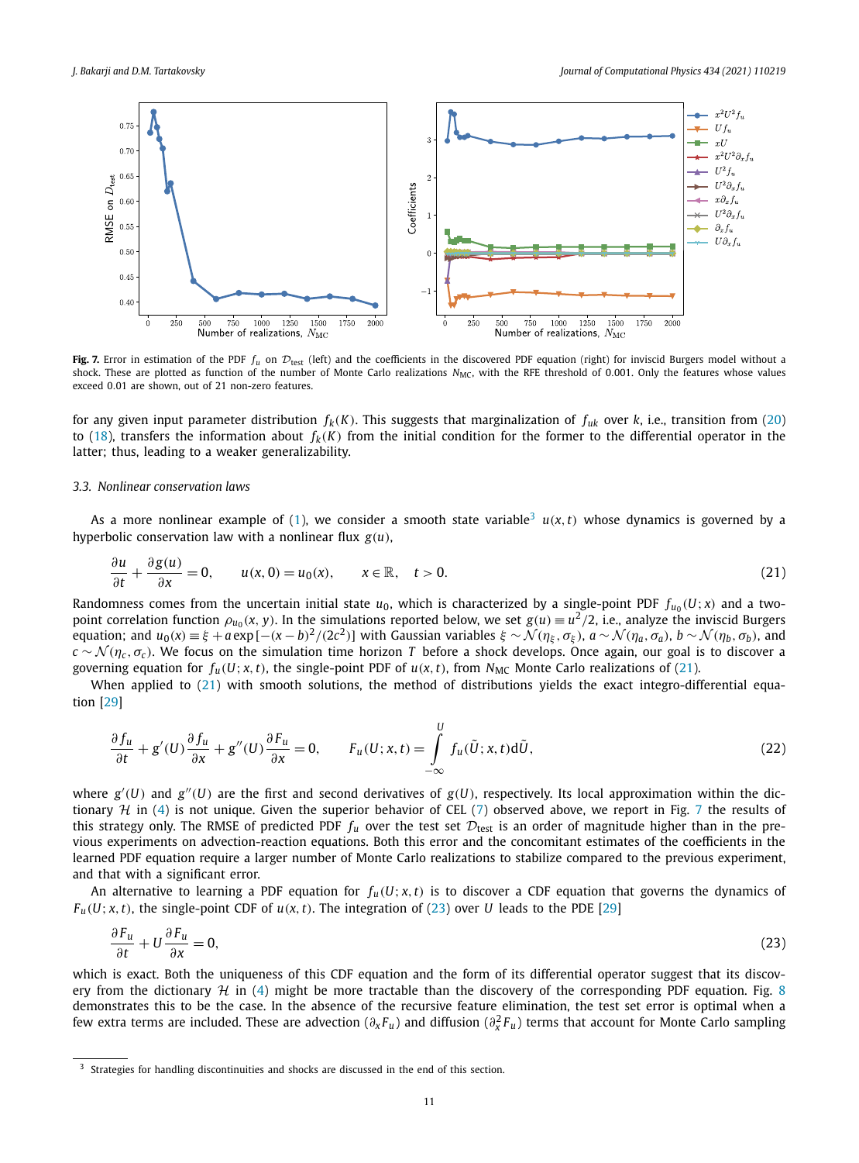<span id="page-10-0"></span>

Fig. 7. Error in estimation of the PDF  $f_u$  on  $\mathcal{D}_{\text{test}}$  (left) and the coefficients in the discovered PDF equation (right) for inviscid Burgers model without a shock. These are plotted as function of the number of Monte Carlo realizations  $N_{MC}$ , with the RFE threshold of 0.001. Only the features whose values exceed 0*.*01 are shown, out of 21 non-zero features.

for any given input parameter distribution  $f_k(K)$ . This suggests that marginalization of  $f_{uk}$  over  $k$ , i.e., transition from [\(20](#page-9-0)) to ([18](#page-8-0)), transfers the information about  $f_k(K)$  from the initial condition for the former to the differential operator in the latter; thus, leading to a weaker generalizability.

#### *3.3. Nonlinear conservation laws*

As a more nonlinear example of ([1](#page-1-0)), we consider a smooth state variable<sup>3</sup>  $u(x,t)$  whose dynamics is governed by a hyperbolic conservation law with a nonlinear flux  $g(u)$ ,

$$
\frac{\partial u}{\partial t} + \frac{\partial g(u)}{\partial x} = 0, \qquad u(x,0) = u_0(x), \qquad x \in \mathbb{R}, \quad t > 0.
$$
 (21)

Randomness comes from the uncertain initial state  $u_0$ , which is characterized by a single-point PDF  $f_{u_0}(U; x)$  and a twopoint correlation function  $\rho_{u_0}(x, y)$ . In the simulations reported below, we set  $g(u) \equiv u^2/2$ , i.e., analyze the inviscid Burgers equation; and  $u_0(x) = \xi + a \exp[-(x - b)^2/(2c^2)]$  with Gaussian variables  $\xi \sim \mathcal{N}(\eta_{\xi}, \sigma_{\xi})$ ,  $a \sim \mathcal{N}(\eta_a, \sigma_a)$ ,  $b \sim \mathcal{N}(\eta_b, \sigma_b)$ , and  $c \sim \mathcal{N}(\eta_c, \sigma_c)$ . We focus on the simulation time horizon *T* before a shock develops. Once again, our goal is to discover a governing equation for  $f_u(U; x, t)$ , the single-point PDF of  $u(x, t)$ , from  $N_{MC}$  Monte Carlo realizations of (21).

When applied to  $(21)$  with smooth solutions, the method of distributions yields the exact integro-differential equation [\[29\]](#page-16-0)

$$
\frac{\partial f_u}{\partial t} + g'(U)\frac{\partial f_u}{\partial x} + g''(U)\frac{\partial F_u}{\partial x} = 0, \qquad F_u(U; x, t) = \int\limits_{-\infty}^U f_u(\tilde{U}; x, t) d\tilde{U}, \tag{22}
$$

where  $g'(U)$  and  $g''(U)$  are the first and second derivatives of  $g(U)$ , respectively. Its local approximation within the dictionary  $H$  in [\(4](#page-3-0)) is not unique. Given the superior behavior of CEL ([7\)](#page-3-0) observed above, we report in Fig. 7 the results of this strategy only. The RMSE of predicted PDF  $f_u$  over the test set  $\mathcal{D}_{\text{test}}$  is an order of magnitude higher than in the previous experiments on advection-reaction equations. Both this error and the concomitant estimates of the coefficients in the learned PDF equation require a larger number of Monte Carlo realizations to stabilize compared to the previous experiment, and that with a significant error.

An alternative to learning a PDF equation for  $f_u(U; x, t)$  is to discover a CDF equation that governs the dynamics of  $F_u(U; x, t)$ , the single-point CDF of  $u(x, t)$ . The integration of (23) over *U* leads to the PDE [[29\]](#page-16-0)

$$
\frac{\partial F_u}{\partial t} + U \frac{\partial F_u}{\partial x} = 0,\tag{23}
$$

which is exact. Both the uniqueness of this CDF equation and the form of its differential operator suggest that its discovery from the dictionary  $H$  in [\(4](#page-3-0)) might be more tractable than the discovery of the corresponding PDF equation. Fig. [8](#page-11-0) demonstrates this to be the case. In the absence of the recursive feature elimination, the test set error is optimal when a few extra terms are included. These are advection ( $\partial_xF_u$ ) and diffusion ( $\partial_x^2F_u$ ) terms that account for Monte Carlo sampling

<sup>&</sup>lt;sup>3</sup> Strategies for handling discontinuities and shocks are discussed in the end of this section.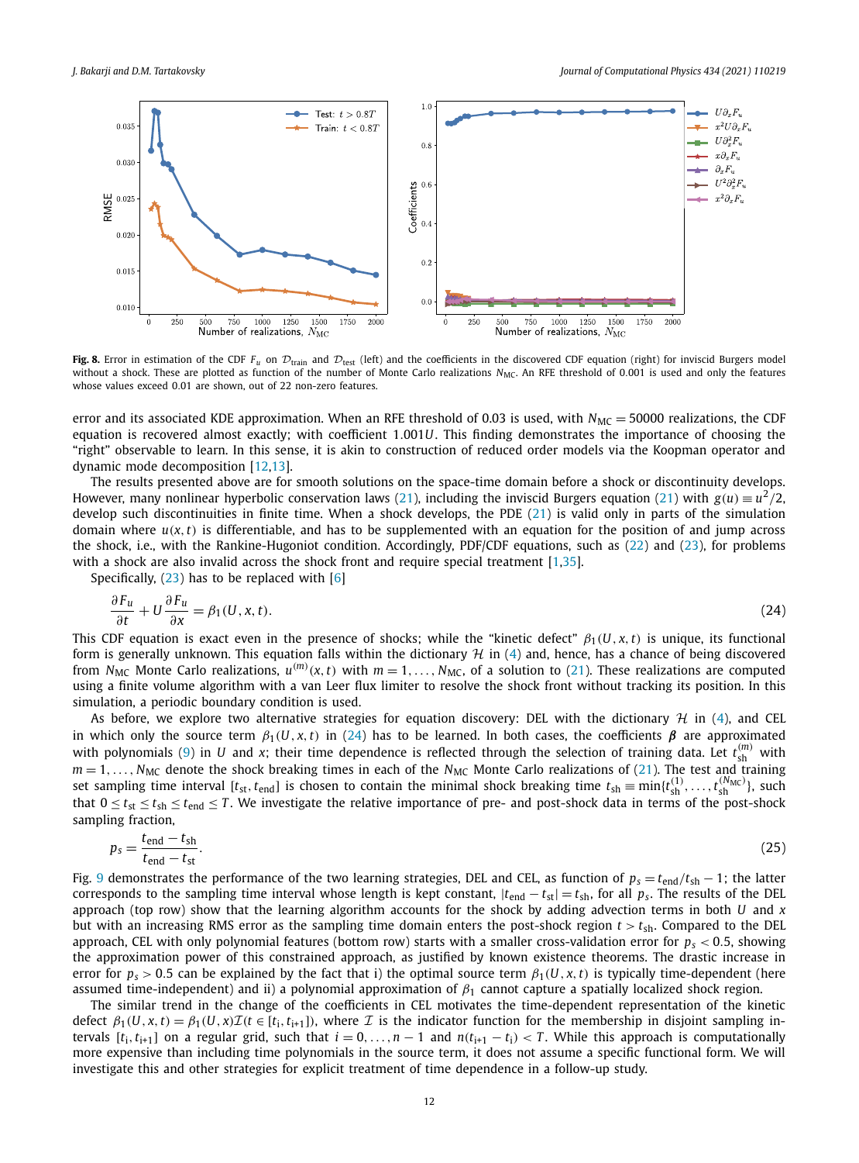<span id="page-11-0"></span>

**Fig. 8.** Error in estimation of the CDF  $F_u$  on  $D_{train}$  and  $D_{test}$  (left) and the coefficients in the discovered CDF equation (right) for inviscid Burgers model without a shock. These are plotted as function of the number of Monte Carlo realizations *N<sub>MC</sub>*. An RFE threshold of 0.001 is used and only the features whose values exceed 0*.*01 are shown, out of 22 non-zero features.

error and its associated KDE approximation. When an RFE threshold of 0.03 is used, with  $N_{MC} = 50000$  realizations, the CDF equation is recovered almost exactly; with coefficient 1*.*001*U*. This finding demonstrates the importance of choosing the "right" observable to learn. In this sense, it is akin to construction of reduced order models via the Koopman operator and dynamic mode decomposition [[12,13](#page-16-0)].

The results presented above are for smooth solutions on the space-time domain before a shock or discontinuity develops. However, many nonlinear hyperbolic conservation laws ([21\)](#page-10-0), including the inviscid Burgers equation ([21](#page-10-0)) with  $g(u) \equiv u^2/2$ , develop such discontinuities in finite time. When a shock develops, the PDE ([21\)](#page-10-0) is valid only in parts of the simulation domain where  $u(x, t)$  is differentiable, and has to be supplemented with an equation for the position of and jump across the shock, i.e., with the Rankine-Hugoniot condition. Accordingly, PDF/CDF equations, such as [\(22\)](#page-10-0) and [\(23](#page-10-0)), for problems with a shock are also invalid across the shock front and require special treatment [[1](#page-15-0)[,35\]](#page-16-0).

Specifically,  $(23)$  $(23)$  has to be replaced with  $[6]$  $[6]$ 

$$
\frac{\partial F_u}{\partial t} + U \frac{\partial F_u}{\partial x} = \beta_1(U, x, t). \tag{24}
$$

This CDF equation is exact even in the presence of shocks; while the "kinetic defect"  $\beta_1(U, x, t)$  is unique, its functional form is generally unknown. This equation falls within the dictionary  $H$  in ([4](#page-3-0)) and, hence, has a chance of being discovered from  $N_{MC}$  Monte Carlo realizations,  $u^{(m)}(x,t)$  with  $m=1,\ldots,N_{MC}$ , of a solution to ([21](#page-10-0)). These realizations are computed using a finite volume algorithm with a van Leer flux limiter to resolve the shock front without tracking its position. In this simulation, a periodic boundary condition is used.

As before, we explore two alternative strategies for equation discovery: DEL with the dictionary  $H$  in [\(4\)](#page-3-0), and CEL in which only the source term  $\beta_1(U, x, t)$  in (24) has to be learned. In both cases, the coefficients  $\beta$  are approximated with polynomials [\(9\)](#page-4-0) in *U* and *x*; their time dependence is reflected through the selection of training data. Let  $t_{sh}^{(m)}$  with  $m = 1, \ldots, N_{MC}$  denote the shock breaking times in each of the  $N_{MC}$  Monte Carlo realizations of [\(21](#page-10-0)). The test and training set sampling time interval  $[t_{st}, t_{end}]$  is chosen to contain the minimal shock breaking time  $t_{sh} \equiv \min\{t_{sh}^{(1)}, \ldots, t_{sh}^{(N_{MC})}\}$ , such that  $0 \le t_{st} \le t_{sh} \le t_{end} \le T$ . We investigate the relative importance of pre- and post-shock data in terms of the post-shock sampling fraction,

$$
p_s = \frac{t_{\text{end}} - t_{\text{sh}}}{t_{\text{end}} - t_{\text{st}}}.\tag{25}
$$

Fig. [9](#page-12-0) demonstrates the performance of the two learning strategies, DEL and CEL, as function of  $p_s = t_{end}/t_{sh} - 1$ ; the latter corresponds to the sampling time interval whose length is kept constant,  $|t_{end} - t_{st}| = t_{sh}$ , for all  $p_s$ . The results of the DEL approach (top row) show that the learning algorithm accounts for the shock by adding advection terms in both *U* and *x* but with an increasing RMS error as the sampling time domain enters the post-shock region  $t > t_{\rm sh}$ . Compared to the DEL approach, CEL with only polynomial features (bottom row) starts with a smaller cross-validation error for *ps <* 0*.*5, showing the approximation power of this constrained approach, as justified by known existence theorems. The drastic increase in error for  $p_s > 0.5$  can be explained by the fact that i) the optimal source term  $\beta_1(U, x, t)$  is typically time-dependent (here assumed time-independent) and ii) a polynomial approximation of *β*<sup>1</sup> cannot capture a spatially localized shock region.

The similar trend in the change of the coefficients in CEL motivates the time-dependent representation of the kinetic defect  $\beta_1(U, x, t) = \beta_1(U, x) \mathcal{I}(t \in [t_i, t_{i+1}])$ , where  $\mathcal I$  is the indicator function for the membership in disjoint sampling intervals  $[t_i, t_{i+1}]$  on a regular grid, such that  $i = 0, ..., n-1$  and  $n(t_{i+1} - t_i) < T$ . While this approach is computationally more expensive than including time polynomials in the source term, it does not assume a specific functional form. We will investigate this and other strategies for explicit treatment of time dependence in a follow-up study.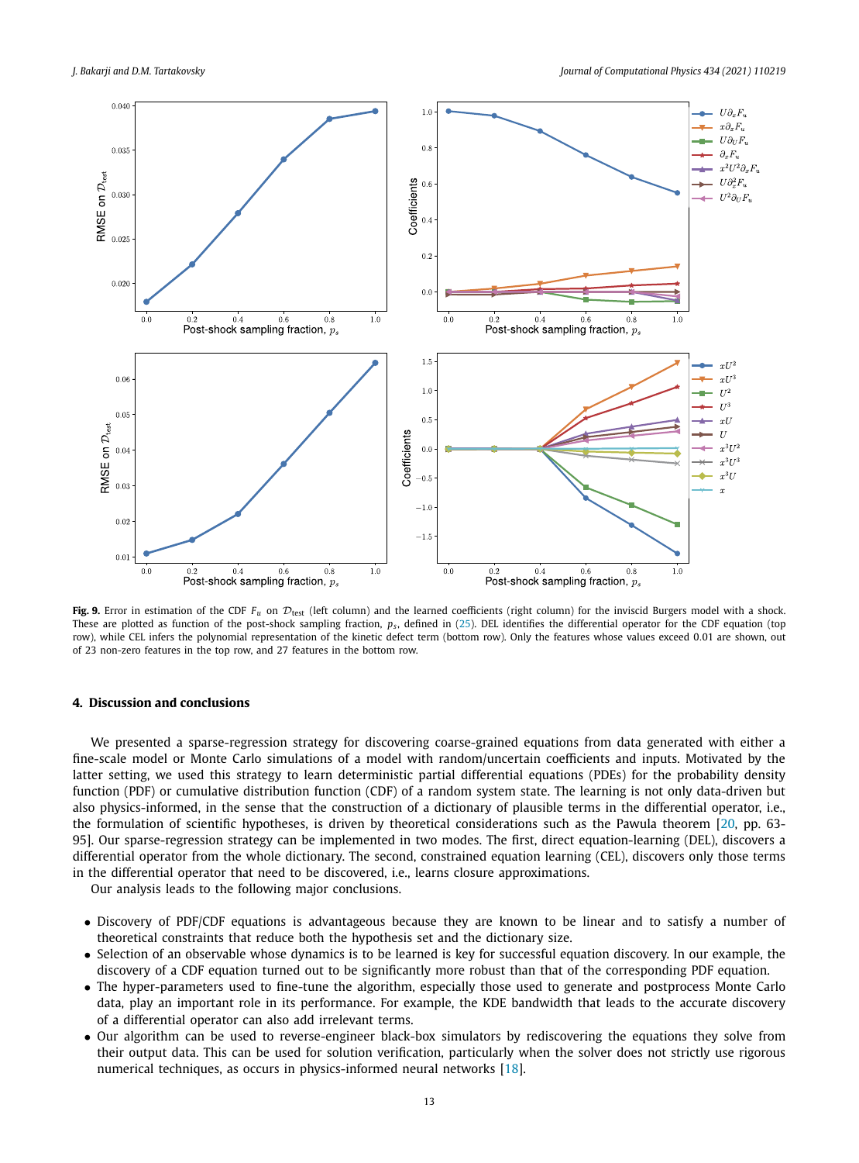<span id="page-12-0"></span>

**Fig. 9.** Error in estimation of the CDF  $F_u$  on  $\mathcal{D}_{\text{test}}$  (left column) and the learned coefficients (right column) for the inviscid Burgers model with a shock. These are plotted as function of the post-shock sampling fraction,  $p_s$ , defined in ([25](#page-11-0)). DEL identifies the differential operator for the CDF equation (top row), while CEL infers the polynomial representation of the kinetic defect term (bottom row). Only the features whose values exceed 0*.*01 are shown, out of 23 non-zero features in the top row, and 27 features in the bottom row.

#### **4. Discussion and conclusions**

We presented a sparse-regression strategy for discovering coarse-grained equations from data generated with either a fine-scale model or Monte Carlo simulations of a model with random/uncertain coefficients and inputs. Motivated by the latter setting, we used this strategy to learn deterministic partial differential equations (PDEs) for the probability density function (PDF) or cumulative distribution function (CDF) of a random system state. The learning is not only data-driven but also physics-informed, in the sense that the construction of a dictionary of plausible terms in the differential operator, i.e., the formulation of scientific hypotheses, is driven by theoretical considerations such as the Pawula theorem [[20,](#page-16-0) pp. 63- 95]. Our sparse-regression strategy can be implemented in two modes. The first, direct equation-learning (DEL), discovers a differential operator from the whole dictionary. The second, constrained equation learning (CEL), discovers only those terms in the differential operator that need to be discovered, i.e., learns closure approximations.

Our analysis leads to the following major conclusions.

- Discovery of PDF/CDF equations is advantageous because they are known to be linear and to satisfy a number of theoretical constraints that reduce both the hypothesis set and the dictionary size.
- Selection of an observable whose dynamics is to be learned is key for successful equation discovery. In our example, the discovery of a CDF equation turned out to be significantly more robust than that of the corresponding PDF equation.
- The hyper-parameters used to fine-tune the algorithm, especially those used to generate and postprocess Monte Carlo data, play an important role in its performance. For example, the KDE bandwidth that leads to the accurate discovery of a differential operator can also add irrelevant terms.
- Our algorithm can be used to reverse-engineer black-box simulators by rediscovering the equations they solve from their output data. This can be used for solution verification, particularly when the solver does not strictly use rigorous numerical techniques, as occurs in physics-informed neural networks [\[18\]](#page-16-0).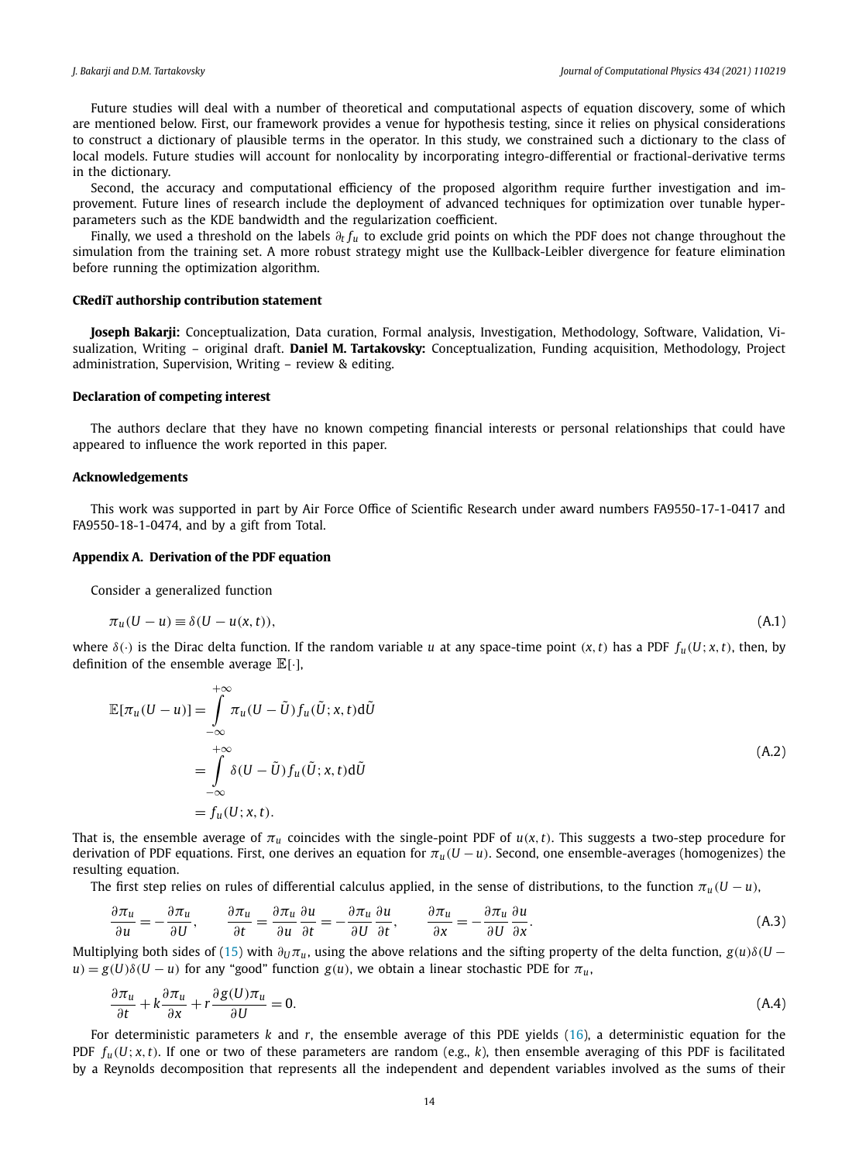<span id="page-13-0"></span>Future studies will deal with a number of theoretical and computational aspects of equation discovery, some of which are mentioned below. First, our framework provides a venue for hypothesis testing, since it relies on physical considerations to construct a dictionary of plausible terms in the operator. In this study, we constrained such a dictionary to the class of local models. Future studies will account for nonlocality by incorporating integro-differential or fractional-derivative terms in the dictionary.

Second, the accuracy and computational efficiency of the proposed algorithm require further investigation and improvement. Future lines of research include the deployment of advanced techniques for optimization over tunable hyperparameters such as the KDE bandwidth and the regularization coefficient.

Finally, we used a threshold on the labels *∂<sup>t</sup> fu* to exclude grid points on which the PDF does not change throughout the simulation from the training set. A more robust strategy might use the Kullback-Leibler divergence for feature elimination before running the optimization algorithm.

#### **CRediT authorship contribution statement**

**Joseph Bakarji:** Conceptualization, Data curation, Formal analysis, Investigation, Methodology, Software, Validation, Visualization, Writing – original draft. **Daniel M. Tartakovsky:** Conceptualization, Funding acquisition, Methodology, Project administration, Supervision, Writing – review & editing.

#### **Declaration of competing interest**

The authors declare that they have no known competing financial interests or personal relationships that could have appeared to influence the work reported in this paper.

#### **Acknowledgements**

This work was supported in part by Air Force Office of Scientific Research under award numbers FA9550-17-1-0417 and FA9550-18-1-0474, and by a gift from Total.

#### **Appendix A. Derivation of the PDF equation**

Consider a generalized function

$$
\pi_u(U - u) \equiv \delta(U - u(x, t)),\tag{A.1}
$$

where  $\delta(\cdot)$  is the Dirac delta function. If the random variable u at any space-time point  $(x, t)$  has a PDF  $f_u(U; x, t)$ , then, by definition of the ensemble average  $\mathbb{E}[\cdot]$ ,

$$
\mathbb{E}[\pi_u(U-u)] = \int_{-\infty}^{+\infty} \pi_u(U-\tilde{U}) f_u(\tilde{U};x,t) d\tilde{U}
$$
  
\n
$$
= \int_{-\infty}^{+\infty} \delta(U-\tilde{U}) f_u(\tilde{U};x,t) d\tilde{U}
$$
  
\n
$$
= f_u(U;x,t).
$$
 (A.2)

That is, the ensemble average of  $\pi_u$  coincides with the single-point PDF of  $u(x, t)$ . This suggests a two-step procedure for derivation of PDF equations. First, one derives an equation for *πu(U* −*u)*. Second, one ensemble-averages (homogenizes) the resulting equation.

The first step relies on rules of differential calculus applied, in the sense of distributions, to the function  $\pi_u(U - u)$ ,

$$
\frac{\partial \pi_u}{\partial u} = -\frac{\partial \pi_u}{\partial U}, \qquad \frac{\partial \pi_u}{\partial t} = \frac{\partial \pi_u}{\partial u} \frac{\partial u}{\partial t} = -\frac{\partial \pi_u}{\partial U} \frac{\partial u}{\partial t}, \qquad \frac{\partial \pi_u}{\partial x} = -\frac{\partial \pi_u}{\partial U} \frac{\partial u}{\partial x}.
$$
(A.3)

Multiplying both sides of [\(15](#page-6-0)) with  $\partial_U \pi_u$ , using the above relations and the sifting property of the delta function,  $g(u)\delta(U$  $u$ *)* =  $g(U)\delta(U - u)$  for any "good" function  $g(u)$ , we obtain a linear stochastic PDE for  $\pi_u$ ,

$$
\frac{\partial \pi_u}{\partial t} + k \frac{\partial \pi_u}{\partial x} + r \frac{\partial g(U)\pi_u}{\partial U} = 0.
$$
 (A.4)

For deterministic parameters *k* and *r*, the ensemble average of this PDE yields ([16\)](#page-6-0), a deterministic equation for the PDF  $f_u(U; x, t)$ . If one or two of these parameters are random (e.g., k), then ensemble averaging of this PDF is facilitated by a Reynolds decomposition that represents all the independent and dependent variables involved as the sums of their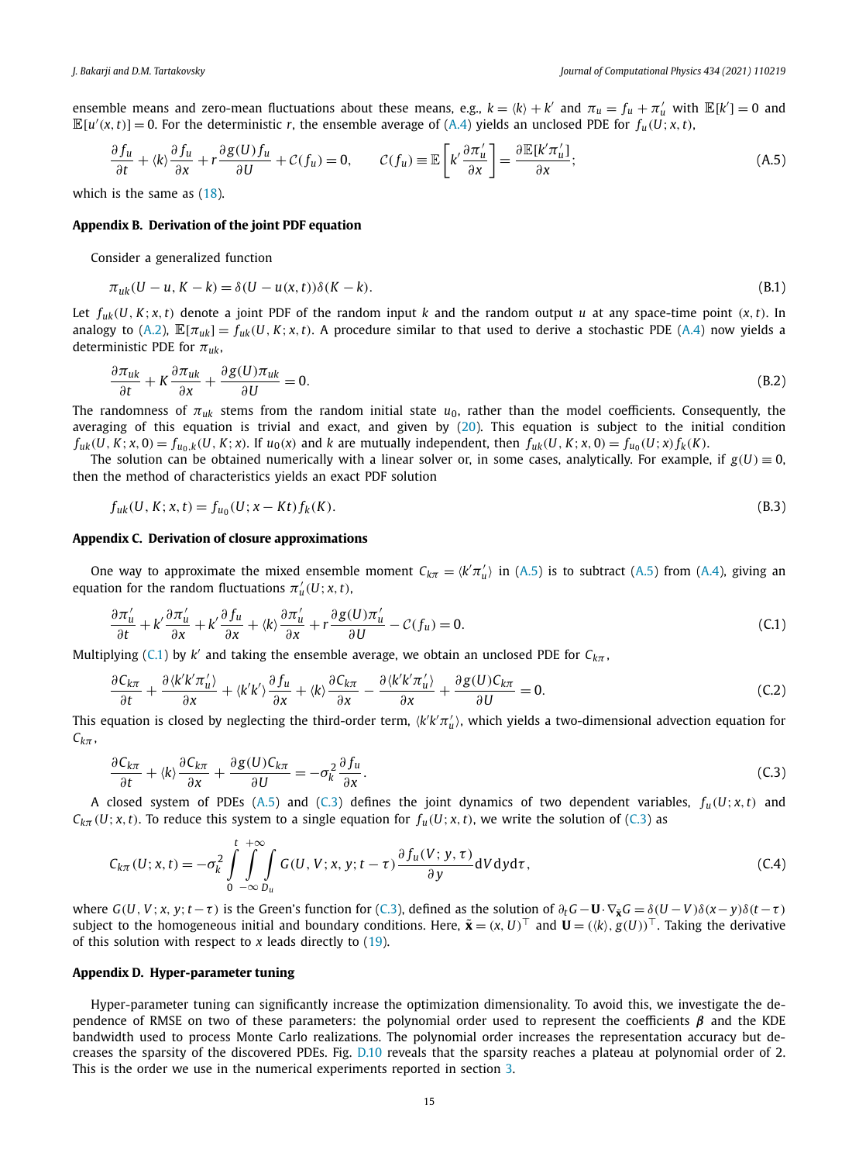<span id="page-14-0"></span>ensemble means and zero-mean fluctuations about these means, e.g.,  $k = \langle k \rangle + k'$  and  $\pi_u = f_u + \pi'_u$  with  $\mathbb{E}[k'] = 0$  and  $\mathbb{E}[u'(x,t)] = 0$ . For the deterministic *r*, the ensemble average of ([A.4\)](#page-13-0) yields an unclosed PDE for  $f_u(U; x, t)$ ,

$$
\frac{\partial f_u}{\partial t} + \langle k \rangle \frac{\partial f_u}{\partial x} + r \frac{\partial g(U) f_u}{\partial U} + \mathcal{C}(f_u) = 0, \qquad \mathcal{C}(f_u) \equiv \mathbb{E} \left[ k' \frac{\partial \pi'_u}{\partial x} \right] = \frac{\partial \mathbb{E}[k' \pi'_u]}{\partial x};\tag{A.5}
$$

which is the same as [\(18\)](#page-8-0).

#### **Appendix B. Derivation of the joint PDF equation**

Consider a generalized function

$$
\pi_{uk}(U - u, K - k) = \delta(U - u(x, t))\delta(K - k). \tag{B.1}
$$

Let  $f_{uk}(U, K; x, t)$  denote a joint PDF of the random input k and the random output u at any space-time point  $(x, t)$ . In analogy to [\(A.2](#page-13-0)),  $\mathbb{E}[\pi_{uk}] = f_{uk}(U, K; x, t)$ . A procedure similar to that used to derive a stochastic PDE [\(A.4](#page-13-0)) now yields a deterministic PDE for *πuk*,

$$
\frac{\partial \pi_{uk}}{\partial t} + K \frac{\partial \pi_{uk}}{\partial x} + \frac{\partial g(U)\pi_{uk}}{\partial U} = 0.
$$
\n(B.2)

The randomness of *πuk* stems from the random initial state *u*0, rather than the model coefficients. Consequently, the averaging of this equation is trivial and exact, and given by [\(20\)](#page-9-0). This equation is subject to the initial condition  $f_{uk}(U, K; x, 0) = f_{u_0, k}(U, K; x)$ . If  $u_0(x)$  and k are mutually independent, then  $f_{uk}(U, K; x, 0) = f_{u_0}(U; x) f_k(K)$ .

The solution can be obtained numerically with a linear solver or, in some cases, analytically. For example, if  $g(U) \equiv 0$ , then the method of characteristics yields an exact PDF solution

$$
f_{uk}(U, K; x, t) = f_{u_0}(U; x - Kt) f_k(K).
$$
\n(B.3)

#### **Appendix C. Derivation of closure approximations**

One way to approximate the mixed ensemble moment  $C_{k\pi} = \langle k'\pi'_u \rangle$  in (A.5) is to subtract (A.5) from ([A.4\)](#page-13-0), giving an equation for the random fluctuations  $\pi_u'(U; x, t)$ ,

$$
\frac{\partial \pi_u'}{\partial t} + k' \frac{\partial \pi_u'}{\partial x} + k' \frac{\partial f_u}{\partial x} + \langle k \rangle \frac{\partial \pi_u'}{\partial x} + r \frac{\partial g(U)\pi_u'}{\partial U} - C(f_u) = 0. \tag{C.1}
$$

Multiplying (C.1) by *k'* and taking the ensemble average, we obtain an unclosed PDE for  $C_{k\pi}$ ,

$$
\frac{\partial C_{k\pi}}{\partial t} + \frac{\partial \langle k'k'\pi_u' \rangle}{\partial x} + \langle k'k' \rangle \frac{\partial f_u}{\partial x} + \langle k \rangle \frac{\partial C_{k\pi}}{\partial x} - \frac{\partial \langle k'k'\pi_u' \rangle}{\partial x} + \frac{\partial g(U)C_{k\pi}}{\partial U} = 0.
$$
 (C.2)

This equation is closed by neglecting the third-order term,  $\langle k'k'\pi'_u\rangle$ , which yields a two-dimensional advection equation for  $C_{k\pi}$ ,

$$
\frac{\partial C_{k\pi}}{\partial t} + \langle k \rangle \frac{\partial C_{k\pi}}{\partial x} + \frac{\partial g(U) C_{k\pi}}{\partial U} = -\sigma_k^2 \frac{\partial f_u}{\partial x}.
$$
\n(C.3)

A closed system of PDEs (A.5) and (C.3) defines the joint dynamics of two dependent variables,  $f_u(U; x, t)$  and  $C_{k\pi}(U; x, t)$ . To reduce this system to a single equation for  $f_u(U; x, t)$ , we write the solution of (C.3) as

$$
C_{k\pi}(U; x, t) = -\sigma_k^2 \int\limits_0^t \int\limits_{-\infty}^{+\infty} \int\limits_{D_u} G(U, V; x, y; t - \tau) \frac{\partial f_u(V; y, \tau)}{\partial y} dV dy d\tau, \tag{C.4}
$$

where  $G(U, V; x, y; t-\tau)$  is the Green's function for (C.3), defined as the solution of  $\partial_t G - U \cdot \nabla_{\tilde{x}} G = \delta(U-V) \delta(x-y) \delta(t-\tau)$ subject to the homogeneous initial and boundary conditions. Here,  $\tilde{\bm{x}} = (x, U)^{\top}$  and  $\bm{U} = (\langle k \rangle, g(U))^{\top}$ . Taking the derivative of this solution with respect to *x* leads directly to [\(19\)](#page-8-0).

#### **Appendix D. Hyper-parameter tuning**

Hyper-parameter tuning can significantly increase the optimization dimensionality. To avoid this, we investigate the dependence of RMSE on two of these parameters: the polynomial order used to represent the coefficients *β* and the KDE bandwidth used to process Monte Carlo realizations. The polynomial order increases the representation accuracy but decreases the sparsity of the discovered PDEs. Fig. [D.10](#page-15-0) reveals that the sparsity reaches a plateau at polynomial order of 2. This is the order we use in the numerical experiments reported in section [3.](#page-6-0)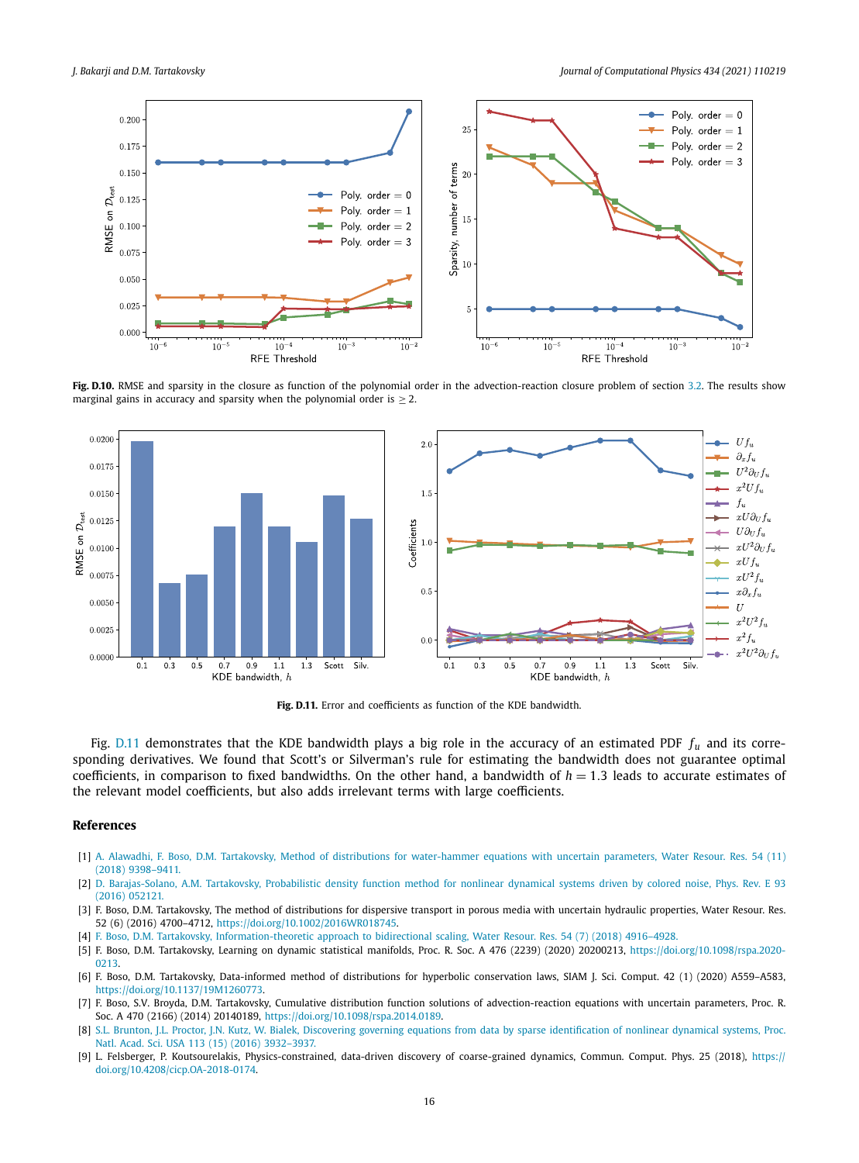<span id="page-15-0"></span>

**Fig. D.10.** RMSE and sparsity in the closure as function of the polynomial order in the advection-reaction closure problem of section [3.2](#page-8-0). The results show marginal gains in accuracy and sparsity when the polynomial order is  $\geq$  2.



**Fig. D.11.** Error and coefficients as function of the KDE bandwidth.

Fig. D.11 demonstrates that the KDE bandwidth plays a big role in the accuracy of an estimated PDF *fu* and its corresponding derivatives. We found that Scott's or Silverman's rule for estimating the bandwidth does not guarantee optimal coefficients, in comparison to fixed bandwidths. On the other hand, a bandwidth of  $h = 1.3$  leads to accurate estimates of the relevant model coefficients, but also adds irrelevant terms with large coefficients.

### **References**

- [1] A. Alawadhi, F. Boso, D.M. Tartakovsky, Method of distributions for [water-hammer](http://refhub.elsevier.com/S0021-9991(21)00114-5/bib2764C221AC79F015F55F5C6DF26DDFE0s1) equations with uncertain parameters, Water Resour. Res. 54 (11) (2018) [9398–9411.](http://refhub.elsevier.com/S0021-9991(21)00114-5/bib2764C221AC79F015F55F5C6DF26DDFE0s1)
- [2] D. [Barajas-Solano,](http://refhub.elsevier.com/S0021-9991(21)00114-5/bibC2740F92A8900EDC8E553AE8AA49436Bs1) A.M. Tartakovsky, Probabilistic density function method for nonlinear dynamical systems driven by colored noise, Phys. Rev. E 93 (2016) [052121.](http://refhub.elsevier.com/S0021-9991(21)00114-5/bibC2740F92A8900EDC8E553AE8AA49436Bs1)
- [3] F. Boso, D.M. Tartakovsky, The method of distributions for dispersive transport in porous media with uncertain hydraulic properties, Water Resour. Res. 52 (6) (2016) 4700–4712, [https://doi.org/10.1002/2016WR018745.](https://doi.org/10.1002/2016WR018745)
- [4] F. Boso, D.M. Tartakovsky, [Information-theoretic](http://refhub.elsevier.com/S0021-9991(21)00114-5/bib1D996DA0C1D3D0C725110F86179C5FB2s1) approach to bidirectional scaling, Water Resour. Res. 54 (7) (2018) 4916–4928.
- [5] F. Boso, D.M. Tartakovsky, Learning on dynamic statistical manifolds, Proc. R. Soc. A 476 (2239) (2020) 20200213, [https://doi.org/10.1098/rspa.2020-](https://doi.org/10.1098/rspa.2020-0213) [0213.](https://doi.org/10.1098/rspa.2020-0213)
- [6] F. Boso, D.M. Tartakovsky, Data-informed method of distributions for hyperbolic conservation laws, SIAM J. Sci. Comput. 42 (1) (2020) A559–A583, <https://doi.org/10.1137/19M1260773>.
- [7] F. Boso, S.V. Broyda, D.M. Tartakovsky, Cumulative distribution function solutions of advection-reaction equations with uncertain parameters, Proc. R. Soc. A 470 (2166) (2014) 20140189, [https://doi.org/10.1098/rspa.2014.0189.](https://doi.org/10.1098/rspa.2014.0189)
- [8] S.L. Brunton, J.L. Proctor, J.N. Kutz, W. Bialek, Discovering governing equations from data by sparse [identification](http://refhub.elsevier.com/S0021-9991(21)00114-5/bibB649A7C3878CE278694F3CF7B5006C19s1) of nonlinear dynamical systems, Proc. Natl. Acad. Sci. USA 113 (15) (2016) [3932–3937.](http://refhub.elsevier.com/S0021-9991(21)00114-5/bibB649A7C3878CE278694F3CF7B5006C19s1)
- [9] L. Felsberger, P. Koutsourelakis, Physics-constrained, data-driven discovery of coarse-grained dynamics, Commun. Comput. Phys. 25 (2018), [https://](https://doi.org/10.4208/cicp.OA-2018-0174) [doi.org/10.4208/cicp.OA-2018-0174.](https://doi.org/10.4208/cicp.OA-2018-0174)